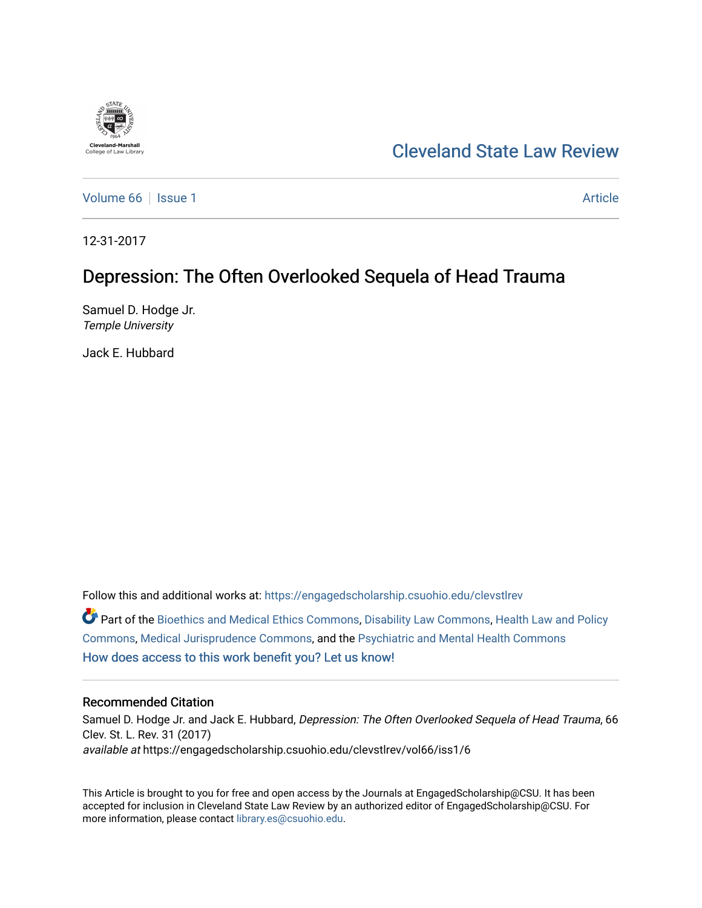

# [Cleveland State Law Review](https://engagedscholarship.csuohio.edu/clevstlrev)

[Volume 66](https://engagedscholarship.csuohio.edu/clevstlrev/vol66) | [Issue 1](https://engagedscholarship.csuohio.edu/clevstlrev/vol66/iss1) Article

12-31-2017

# Depression: The Often Overlooked Sequela of Head Trauma

Samuel D. Hodge Jr. Temple University

Jack E. Hubbard

Follow this and additional works at: [https://engagedscholarship.csuohio.edu/clevstlrev](https://engagedscholarship.csuohio.edu/clevstlrev?utm_source=engagedscholarship.csuohio.edu%2Fclevstlrev%2Fvol66%2Fiss1%2F6&utm_medium=PDF&utm_campaign=PDFCoverPages)

Part of the [Bioethics and Medical Ethics Commons,](http://network.bepress.com/hgg/discipline/650?utm_source=engagedscholarship.csuohio.edu%2Fclevstlrev%2Fvol66%2Fiss1%2F6&utm_medium=PDF&utm_campaign=PDFCoverPages) [Disability Law Commons,](http://network.bepress.com/hgg/discipline/1074?utm_source=engagedscholarship.csuohio.edu%2Fclevstlrev%2Fvol66%2Fiss1%2F6&utm_medium=PDF&utm_campaign=PDFCoverPages) [Health Law and Policy](http://network.bepress.com/hgg/discipline/901?utm_source=engagedscholarship.csuohio.edu%2Fclevstlrev%2Fvol66%2Fiss1%2F6&utm_medium=PDF&utm_campaign=PDFCoverPages)  [Commons](http://network.bepress.com/hgg/discipline/901?utm_source=engagedscholarship.csuohio.edu%2Fclevstlrev%2Fvol66%2Fiss1%2F6&utm_medium=PDF&utm_campaign=PDFCoverPages), [Medical Jurisprudence Commons](http://network.bepress.com/hgg/discipline/860?utm_source=engagedscholarship.csuohio.edu%2Fclevstlrev%2Fvol66%2Fiss1%2F6&utm_medium=PDF&utm_campaign=PDFCoverPages), and the [Psychiatric and Mental Health Commons](http://network.bepress.com/hgg/discipline/711?utm_source=engagedscholarship.csuohio.edu%2Fclevstlrev%2Fvol66%2Fiss1%2F6&utm_medium=PDF&utm_campaign=PDFCoverPages)  [How does access to this work benefit you? Let us know!](http://library.csuohio.edu/engaged/)

# Recommended Citation

Samuel D. Hodge Jr. and Jack E. Hubbard, Depression: The Often Overlooked Sequela of Head Trauma, 66 Clev. St. L. Rev. 31 (2017) available at https://engagedscholarship.csuohio.edu/clevstlrev/vol66/iss1/6

This Article is brought to you for free and open access by the Journals at EngagedScholarship@CSU. It has been accepted for inclusion in Cleveland State Law Review by an authorized editor of EngagedScholarship@CSU. For more information, please contact [library.es@csuohio.edu](mailto:library.es@csuohio.edu).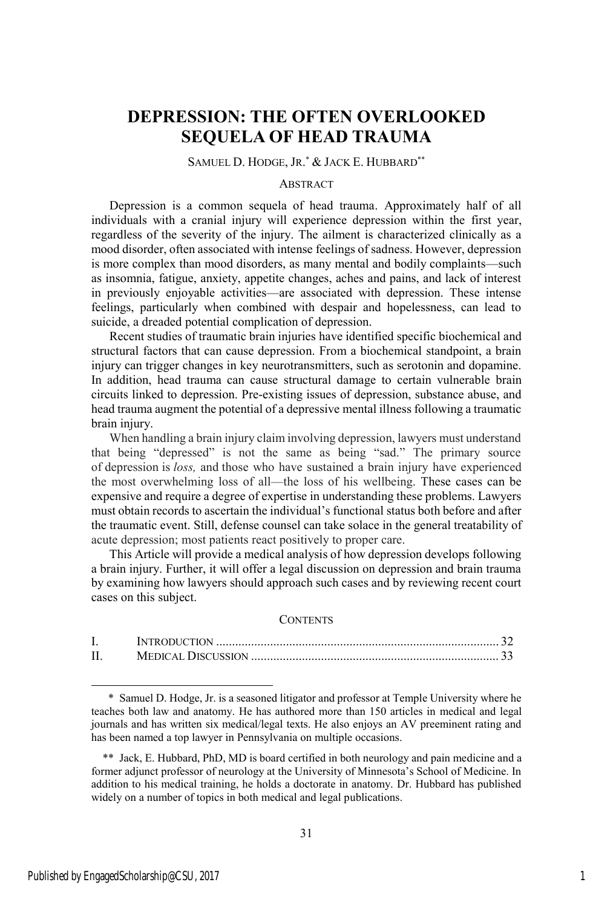# **DEPRESSION: THE OFTEN OVERLOOKED SEQUELA OF HEAD TRAUMA**

### SAMUEL D. HODGE, JR. \* & JACK E. HUBBARD\*\*

#### ABSTRACT

Depression is a common sequela of head trauma. Approximately half of all individuals with a cranial injury will experience depression within the first year, regardless of the severity of the injury. The ailment is characterized clinically as a mood disorder, often associated with intense feelings of sadness. However, depression is more complex than mood disorders, as many mental and bodily complaints—such as insomnia, fatigue, anxiety, appetite changes, aches and pains, and lack of interest in previously enjoyable activities—are associated with depression. These intense feelings, particularly when combined with despair and hopelessness, can lead to suicide, a dreaded potential complication of depression.

Recent studies of traumatic brain injuries have identified specific biochemical and structural factors that can cause depression. From a biochemical standpoint, a brain injury can trigger changes in key neurotransmitters, such as serotonin and dopamine. In addition, head trauma can cause structural damage to certain vulnerable brain circuits linked to depression. Pre-existing issues of depression, substance abuse, and head trauma augment the potential of a depressive mental illness following a traumatic brain injury.

When handling a brain injury claim involving depression, lawyers must understand that being "depressed" is not the same as being "sad." The primary source of depression is *loss,* and those who have sustained a brain injury have experienced the most overwhelming loss of all—the loss of his wellbeing. These cases can be expensive and require a degree of expertise in understanding these problems. Lawyers must obtain records to ascertain the individual's functional status both before and after the traumatic event. Still, defense counsel can take solace in the general treatability of acute depression; most patients react positively to proper care.

This Article will provide a medical analysis of how depression develops following a brain injury. Further, it will offer a legal discussion on depression and brain trauma by examining how lawyers should approach such cases and by reviewing recent court cases on this subject.

#### **CONTENTS**

<sup>\*</sup> Samuel D. Hodge, Jr. is a seasoned litigator and professor at Temple University where he teaches both law and anatomy. He has authored more than 150 articles in medical and legal journals and has written six medical/legal texts. He also enjoys an AV preeminent rating and has been named a top lawyer in Pennsylvania on multiple occasions.

 $\overline{\phantom{a}}$ 

<sup>\*\*</sup> Jack, E. Hubbard, PhD, MD is board certified in both neurology and pain medicine and a former adjunct professor of neurology at the University of Minnesota's School of Medicine. In addition to his medical training, he holds a doctorate in anatomy. Dr. Hubbard has published widely on a number of topics in both medical and legal publications.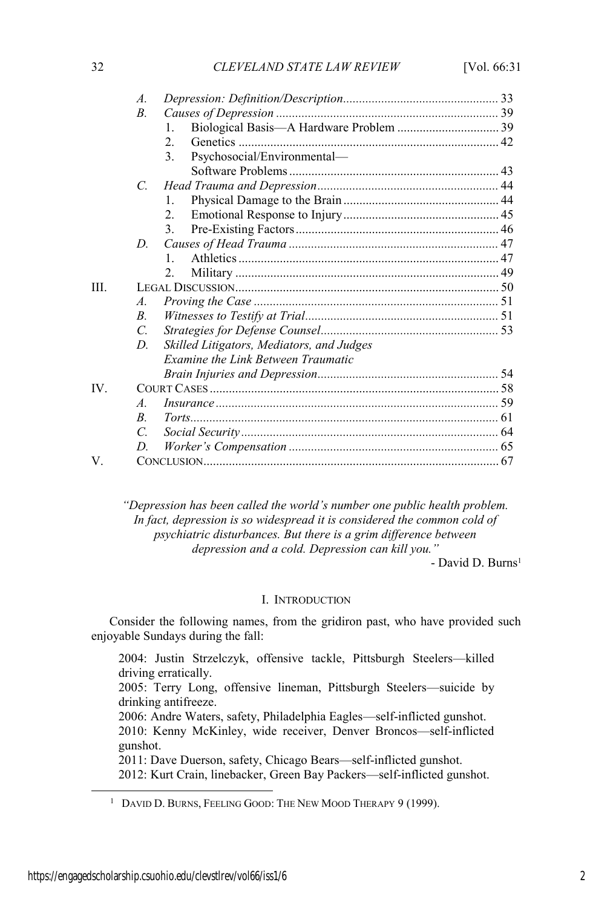|      | $\overline{A}$ |                                           |  |
|------|----------------|-------------------------------------------|--|
|      | $B$ .          |                                           |  |
|      |                | 1.                                        |  |
|      |                | $\overline{2}$ .                          |  |
|      |                | Psychosocial/Environmental-<br>3.         |  |
|      |                |                                           |  |
|      | $\mathcal{C}$  |                                           |  |
|      |                | $\mathbf{1}$                              |  |
|      |                | $\mathfrak{D}$                            |  |
|      |                | $\mathcal{E}$                             |  |
|      | D.             |                                           |  |
|      |                | $\mathbf{1}$                              |  |
|      |                | $\overline{2}$                            |  |
| III. |                |                                           |  |
|      | A.             |                                           |  |
|      | $\overline{B}$ |                                           |  |
|      | $\mathcal{C}$  |                                           |  |
|      | D.             | Skilled Litigators, Mediators, and Judges |  |
|      |                | <b>Examine the Link Between Traumatic</b> |  |
|      |                |                                           |  |
| IV   |                |                                           |  |
|      | $\overline{A}$ |                                           |  |
|      | B.             |                                           |  |
|      | $\mathcal{C}$  |                                           |  |
|      | D              |                                           |  |
| V    |                |                                           |  |

*"Depression has been called the world's number one public health problem. In fact, depression is so widespread it is considered the common cold of psychiatric disturbances. But there is a grim difference between depression and a cold. Depression can kill you."*

- David D. Burns<sup>1</sup>

# I. INTRODUCTION

Consider the following names, from the gridiron past, who have provided such enjoyable Sundays during the fall:

2004: Justin Strzelczyk, offensive tackle, Pittsburgh Steelers—killed driving erratically. 2005: Terry Long, offensive lineman, Pittsburgh Steelers—suicide by drinking antifreeze. 2006: Andre Waters, safety, Philadelphia Eagles—self-inflicted gunshot. 2010: Kenny McKinley, wide receiver, Denver Broncos—self-inflicted gunshot. 2011: Dave Duerson, safety, Chicago Bears—self-inflicted gunshot. 2012: Kurt Crain, linebacker, Green Bay Packers—self-inflicted gunshot.

<sup>&</sup>lt;sup>1</sup> DAVID D. BURNS, FEELING GOOD: THE NEW MOOD THERAPY 9 (1999).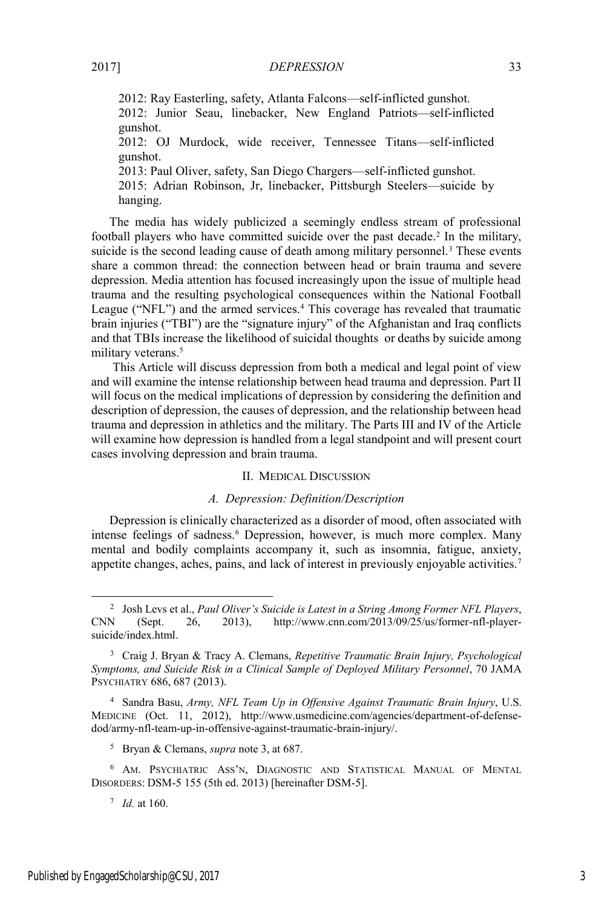2012: Ray Easterling, safety, Atlanta Falcons—self-inflicted gunshot. 2012: Junior Seau, linebacker, New England Patriots—self-inflicted gunshot. 2012: OJ Murdock, wide receiver, Tennessee Titans—self-inflicted gunshot. 2013: Paul Oliver, safety, San Diego Chargers—self-inflicted gunshot. 2015: Adrian Robinson, Jr, linebacker, Pittsburgh Steelers—suicide by

hanging.

The media has widely publicized a seemingly endless stream of professional football players who have committed suicide over the past decade.2 In the military, suicide is the second leading cause of death among military personnel.<sup>3</sup> These events share a common thread: the connection between head or brain trauma and severe depression. Media attention has focused increasingly upon the issue of multiple head trauma and the resulting psychological consequences within the National Football League ("NFL") and the armed services.<sup>4</sup> This coverage has revealed that traumatic brain injuries ("TBI") are the "signature injury" of the Afghanistan and Iraq conflicts and that TBIs increase the likelihood of suicidal thoughts or deaths by suicide among military veterans.<sup>5</sup>

This Article will discuss depression from both a medical and legal point of view and will examine the intense relationship between head trauma and depression. Part II will focus on the medical implications of depression by considering the definition and description of depression, the causes of depression, and the relationship between head trauma and depression in athletics and the military. The Parts III and IV of the Article will examine how depression is handled from a legal standpoint and will present court cases involving depression and brain trauma.

# II. MEDICAL DISCUSSION

# *A. Depression: Definition/Description*

Depression is clinically characterized as a disorder of mood, often associated with intense feelings of sadness.<sup>6</sup> Depression, however, is much more complex. Many mental and bodily complaints accompany it, such as insomnia, fatigue, anxiety, appetite changes, aches, pains, and lack of interest in previously enjoyable activities.7

 <sup>2</sup> Josh Levs et al., *Paul Oliver's Suicide is Latest in a String Among Former NFL Players*, CNN (Sept. 26, 2013), http://www.cnn.com/2013/09/25/us/former-nfl-playersuicide/index.html.

<sup>3</sup> Craig J. Bryan & Tracy A. Clemans, *Repetitive Traumatic Brain Injury, Psychological Symptoms, and Suicide Risk in a Clinical Sample of Deployed Military Personnel*, 70 JAMA PSYCHIATRY 686, 687 (2013).

<sup>4</sup> Sandra Basu, *Army, NFL Team Up in Offensive Against Traumatic Brain Injury*, U.S. MEDICINE (Oct. 11, 2012), http://www.usmedicine.com/agencies/department-of-defensedod/army-nfl-team-up-in-offensive-against-traumatic-brain-injury/.

<sup>5</sup> Bryan & Clemans, *supra* note 3, at 687.

<sup>6</sup> AM. PSYCHIATRIC ASS'N, DIAGNOSTIC AND STATISTICAL MANUAL OF MENTAL DISORDERS: DSM-5 155 (5th ed. 2013) [hereinafter DSM-5].

<sup>7</sup> *Id.* at 160.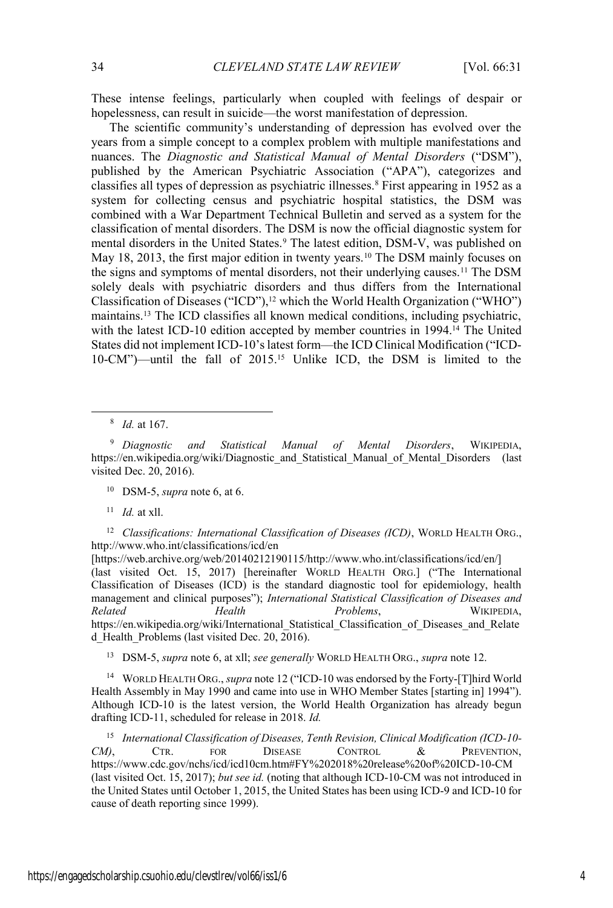These intense feelings, particularly when coupled with feelings of despair or hopelessness, can result in suicide—the worst manifestation of depression.

The scientific community's understanding of depression has evolved over the years from a simple concept to a complex problem with multiple manifestations and nuances. The *Diagnostic and Statistical Manual of Mental Disorders* ("DSM"), published by the American Psychiatric Association ("APA"), categorizes and classifies all types of depression as psychiatric illnesses.8 First appearing in 1952 as a system for collecting census and psychiatric hospital statistics, the DSM was combined with a War Department Technical Bulletin and served as a system for the classification of mental disorders. The DSM is now the official diagnostic system for mental disorders in the United States.<sup>9</sup> The latest edition, DSM-V, was published on May 18, 2013, the first major edition in twenty years.<sup>10</sup> The DSM mainly focuses on the signs and symptoms of mental disorders, not their underlying causes.11 The DSM solely deals with psychiatric disorders and thus differs from the International Classification of Diseases ("ICD"),<sup>12</sup> which the World Health Organization ("WHO") maintains.13 The ICD classifies all known medical conditions, including psychiatric, with the latest ICD-10 edition accepted by member countries in 1994.<sup>14</sup> The United States did not implement ICD-10's latest form—the ICD Clinical Modification ("ICD-10-CM")—until the fall of 2015.15 Unlike ICD, the DSM is limited to the

8 *Id.* at 167.

<sup>9</sup> *Diagnostic and Statistical Manual of Mental Disorders*, WIKIPEDIA, https://en.wikipedia.org/wiki/Diagnostic and Statistical Manual of Mental Disorders (last visited Dec. 20, 2016).

<sup>10</sup> DSM-5, *supra* note 6, at 6.

<sup>11</sup> *Id.* at xll.

<sup>12</sup> *Classifications: International Classification of Diseases (ICD)*, WORLD HEALTH ORG., http://www.who.int/classifications/icd/en

[https://web.archive.org/web/20140212190115/http://www.who.int/classifications/icd/en/] (last visited Oct. 15, 2017) [hereinafter WORLD HEALTH ORG.] ("The International Classification of Diseases (ICD) is the standard diagnostic tool for epidemiology, health management and clinical purposes"); *International Statistical Classification of Diseases and Related Health Problems*, WIKIPEDIA, https://en.wikipedia.org/wiki/International Statistical Classification of Diseases and Relate d\_Health\_Problems (last visited Dec. 20, 2016).

<sup>13</sup> DSM-5, *supra* note 6, at xll; *see generally* WORLD HEALTH ORG., *supra* note 12.

<sup>14</sup> WORLD HEALTH ORG., *supra* note 12 ("ICD-10 was endorsed by the Forty-[T]hird World Health Assembly in May 1990 and came into use in WHO Member States [starting in] 1994"). Although ICD-10 is the latest version, the World Health Organization has already begun drafting ICD-11, scheduled for release in 2018. *Id.*

<sup>15</sup> *International Classification of Diseases, Tenth Revision, Clinical Modification (ICD-10- CM)*, CTR. FOR DISEASE CONTROL & PREVENTION, https://www.cdc.gov/nchs/icd/icd10cm.htm#FY%202018%20release%20of%20ICD-10-CM (last visited Oct. 15, 2017); *but see id.* (noting that although ICD-10-CM was not introduced in the United States until October 1, 2015, the United States has been using ICD-9 and ICD-10 for cause of death reporting since 1999).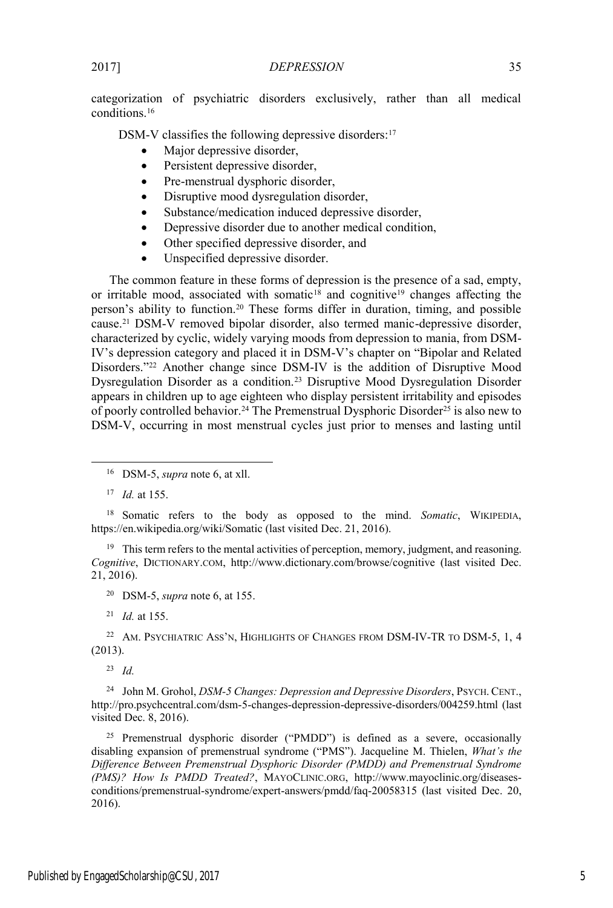categorization of psychiatric disorders exclusively, rather than all medical conditions.16

DSM-V classifies the following depressive disorders:<sup>17</sup>

- $\bullet$  Major depressive disorder,
- Persistent depressive disorder,
- Pre-menstrual dysphoric disorder,
- Disruptive mood dysregulation disorder,
- Substance/medication induced depressive disorder,
- Depressive disorder due to another medical condition,
- Other specified depressive disorder, and
- Unspecified depressive disorder.

The common feature in these forms of depression is the presence of a sad, empty, or irritable mood, associated with somatic<sup>18</sup> and cognitive<sup>19</sup> changes affecting the person's ability to function.<sup>20</sup> These forms differ in duration, timing, and possible cause.21 DSM-V removed bipolar disorder, also termed manic-depressive disorder, characterized by cyclic, widely varying moods from depression to mania, from DSM-IV's depression category and placed it in DSM-V's chapter on "Bipolar and Related Disorders."<sup>22</sup> Another change since DSM-IV is the addition of Disruptive Mood Dysregulation Disorder as a condition.23 Disruptive Mood Dysregulation Disorder appears in children up to age eighteen who display persistent irritability and episodes of poorly controlled behavior.24 The Premenstrual Dysphoric Disorder25 is also new to DSM-V, occurring in most menstrual cycles just prior to menses and lasting until

<sup>18</sup> Somatic refers to the body as opposed to the mind. *Somatic*, WIKIPEDIA, https://en.wikipedia.org/wiki/Somatic (last visited Dec. 21, 2016).

<sup>19</sup> This term refers to the mental activities of perception, memory, judgment, and reasoning. *Cognitive*, DICTIONARY.COM, http://www.dictionary.com/browse/cognitive (last visited Dec. 21, 2016).

<sup>20</sup> DSM-5, *supra* note 6, at 155.

<sup>21</sup> *Id.* at 155.

<sup>22</sup> AM. PSYCHIATRIC ASS'N, HIGHLIGHTS OF CHANGES FROM DSM-IV-TR TO DSM-5, 1, 4 (2013).

<sup>23</sup> *Id.*

<sup>24</sup> John M. Grohol, *DSM-5 Changes: Depression and Depressive Disorders*, PSYCH. CENT., http://pro.psychcentral.com/dsm-5-changes-depression-depressive-disorders/004259.html (last visited Dec. 8, 2016).

<sup>25</sup> Premenstrual dysphoric disorder ("PMDD") is defined as a severe, occasionally disabling expansion of premenstrual syndrome ("PMS"). Jacqueline M. Thielen, *What's the Difference Between Premenstrual Dysphoric Disorder (PMDD) and Premenstrual Syndrome (PMS)? How Is PMDD Treated?*, MAYOCLINIC.ORG, http://www.mayoclinic.org/diseasesconditions/premenstrual-syndrome/expert-answers/pmdd/faq-20058315 (last visited Dec. 20, 2016).

 <sup>16</sup> DSM-5, *supra* note 6, at xll.

<sup>17</sup> *Id.* at 155.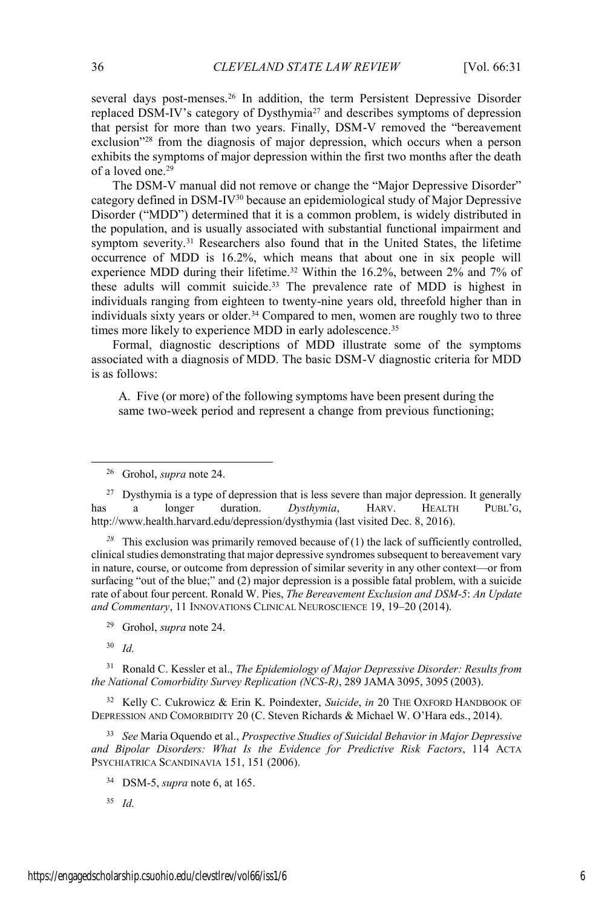several days post-menses.<sup>26</sup> In addition, the term Persistent Depressive Disorder replaced DSM-IV's category of Dysthymia<sup>27</sup> and describes symptoms of depression that persist for more than two years. Finally, DSM-V removed the "bereavement exclusion<sup>728</sup> from the diagnosis of major depression, which occurs when a person exhibits the symptoms of major depression within the first two months after the death of a loved one.29

The DSM-V manual did not remove or change the "Major Depressive Disorder" category defined in DSM-IV30 because an epidemiological study of Major Depressive Disorder ("MDD") determined that it is a common problem, is widely distributed in the population, and is usually associated with substantial functional impairment and symptom severity.<sup>31</sup> Researchers also found that in the United States, the lifetime occurrence of MDD is 16.2%, which means that about one in six people will experience MDD during their lifetime.32 Within the 16.2%, between 2% and 7% of these adults will commit suicide.<sup>33</sup> The prevalence rate of MDD is highest in individuals ranging from eighteen to twenty-nine years old, threefold higher than in individuals sixty years or older.<sup>34</sup> Compared to men, women are roughly two to three times more likely to experience MDD in early adolescence.<sup>35</sup>

Formal, diagnostic descriptions of MDD illustrate some of the symptoms associated with a diagnosis of MDD. The basic DSM-V diagnostic criteria for MDD is as follows:

A. Five (or more) of the following symptoms have been present during the same two-week period and represent a change from previous functioning;

*<sup>28</sup>* This exclusion was primarily removed because of (1) the lack of sufficiently controlled, clinical studies demonstrating that major depressive syndromes subsequent to bereavement vary in nature, course, or outcome from depression of similar severity in any other context—or from surfacing "out of the blue;" and (2) major depression is a possible fatal problem, with a suicide rate of about four percent. Ronald W. Pies, *The Bereavement Exclusion and DSM-5*: *An Update and Commentary*, 11 INNOVATIONS CLINICAL NEUROSCIENCE 19, 19–20 (2014).

<sup>30</sup> *Id.*

<sup>31</sup> Ronald C. Kessler et al., *The Epidemiology of Major Depressive Disorder: Results from the National Comorbidity Survey Replication (NCS-R)*, 289 JAMA 3095, 3095 (2003).

<sup>32</sup> Kelly C. Cukrowicz & Erin K. Poindexter, *Suicide*, *in* 20 THE OXFORD HANDBOOK OF DEPRESSION AND COMORBIDITY 20 (C. Steven Richards & Michael W. O'Hara eds., 2014).

<sup>33</sup> *See* Maria Oquendo et al., *Prospective Studies of Suicidal Behavior in Major Depressive and Bipolar Disorders: What Is the Evidence for Predictive Risk Factors*, 114 ACTA PSYCHIATRICA SCANDINAVIA 151, 151 (2006).

 <sup>26</sup> Grohol, *supra* note 24.

<sup>&</sup>lt;sup>27</sup> Dysthymia is a type of depression that is less severe than major depression. It generally has a longer duration. *Dysthymia*, HARV. HEALTH PUBL'G, http://www.health.harvard.edu/depression/dysthymia (last visited Dec. 8, 2016).

<sup>29</sup> Grohol, *supra* note 24.

<sup>34</sup> DSM-5, *supra* note 6, at 165.

<sup>35</sup> *Id.*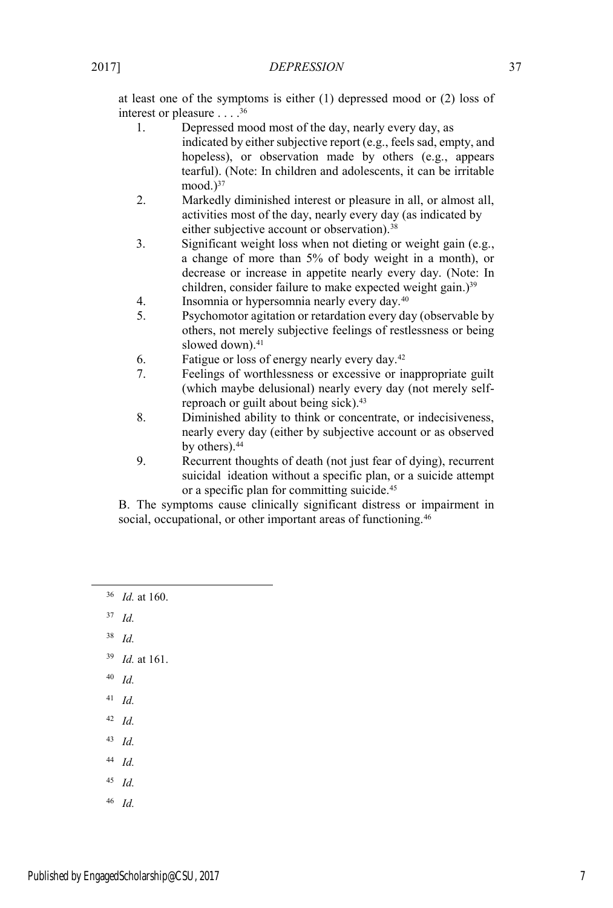at least one of the symptoms is either (1) depressed mood or (2) loss of interest or pleasure . . . .36

- 1. Depressed mood most of the day, nearly every day, as indicated by either subjective report (e.g., feels sad, empty, and hopeless), or observation made by others (e.g., appears tearful). (Note: In children and adolescents, it can be irritable mood. $)^{37}$
- 2. Markedly diminished interest or pleasure in all, or almost all, activities most of the day, nearly every day (as indicated by either subjective account or observation).<sup>38</sup>
- 3. Significant weight loss when not dieting or weight gain (e.g., a change of more than 5% of body weight in a month), or decrease or increase in appetite nearly every day. (Note: In children, consider failure to make expected weight gain.)<sup>39</sup>
- 4. Insomnia or hypersomnia nearly every day.40
- 5. Psychomotor agitation or retardation every day (observable by others, not merely subjective feelings of restlessness or being slowed down).<sup>41</sup>
- 6. Fatigue or loss of energy nearly every day.42
- 7. Feelings of worthlessness or excessive or inappropriate guilt (which maybe delusional) nearly every day (not merely selfreproach or guilt about being sick).43
- 8. Diminished ability to think or concentrate, or indecisiveness, nearly every day (either by subjective account or as observed by others).<sup>44</sup>
- 9. Recurrent thoughts of death (not just fear of dying), recurrent suicidal ideation without a specific plan, or a suicide attempt or a specific plan for committing suicide.45

B. The symptoms cause clinically significant distress or impairment in social, occupational, or other important areas of functioning.<sup>46</sup>

- 36 *Id.* at 160.
- <sup>37</sup> *Id.*
- <sup>38</sup> *Id.*
- <sup>39</sup> *Id.* at 161.
- <sup>40</sup> *Id.*
- <sup>41</sup> *Id.*
- <sup>42</sup> *Id.*
- <sup>43</sup> *Id.*
- <sup>44</sup> *Id.*
- <sup>45</sup> *Id.*
- <sup>46</sup> *Id.*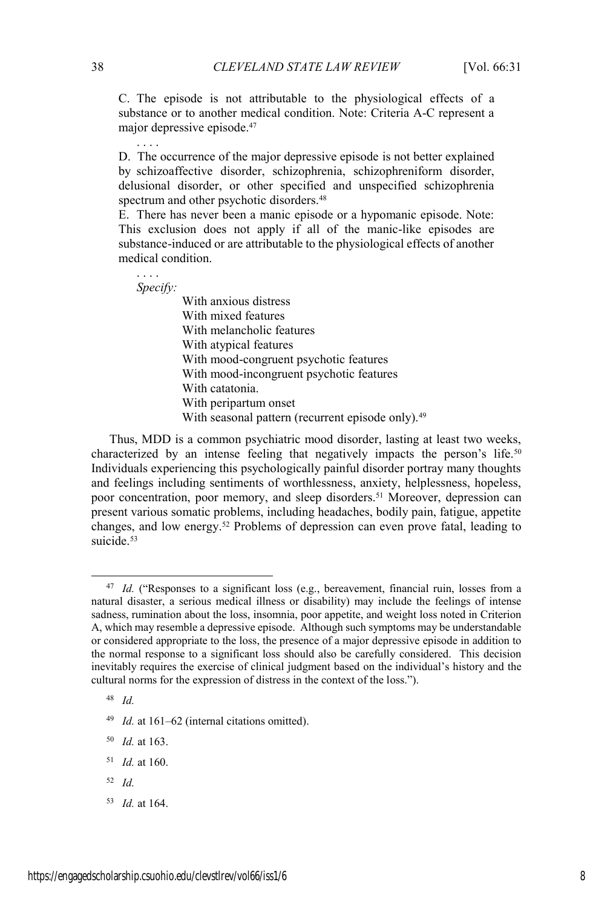C. The episode is not attributable to the physiological effects of a substance or to another medical condition. Note: Criteria A-C represent a major depressive episode.47

D. The occurrence of the major depressive episode is not better explained by schizoaffective disorder, schizophrenia, schizophreniform disorder, delusional disorder, or other specified and unspecified schizophrenia spectrum and other psychotic disorders.<sup>48</sup>

E. There has never been a manic episode or a hypomanic episode. Note: This exclusion does not apply if all of the manic-like episodes are substance-induced or are attributable to the physiological effects of another medical condition.

. . . . *Specify:*

. . . .

With anxious distress With mixed features With melancholic features With atypical features With mood-congruent psychotic features With mood-incongruent psychotic features With catatonia. With peripartum onset With seasonal pattern (recurrent episode only).<sup>49</sup>

Thus, MDD is a common psychiatric mood disorder, lasting at least two weeks, characterized by an intense feeling that negatively impacts the person's life.<sup>50</sup> Individuals experiencing this psychologically painful disorder portray many thoughts and feelings including sentiments of worthlessness, anxiety, helplessness, hopeless, poor concentration, poor memory, and sleep disorders.<sup>51</sup> Moreover, depression can present various somatic problems, including headaches, bodily pain, fatigue, appetite changes, and low energy.52 Problems of depression can even prove fatal, leading to suicide. $53$ 

<sup>48</sup> *Id.*

<sup>50</sup> *Id.* at 163.

- <sup>51</sup> *Id.* at 160.
- <sup>52</sup> *Id.*
- <sup>53</sup> *Id.* at 164.

<sup>&</sup>lt;sup>47</sup> *Id.* ("Responses to a significant loss (e.g., bereavement, financial ruin, losses from a natural disaster, a serious medical illness or disability) may include the feelings of intense sadness, rumination about the loss, insomnia, poor appetite, and weight loss noted in Criterion A, which may resemble a depressive episode. Although such symptoms may be understandable or considered appropriate to the loss, the presence of a major depressive episode in addition to the normal response to a significant loss should also be carefully considered. This decision inevitably requires the exercise of clinical judgment based on the individual's history and the cultural norms for the expression of distress in the context of the loss.").

<sup>49</sup> *Id.* at 161–62 (internal citations omitted).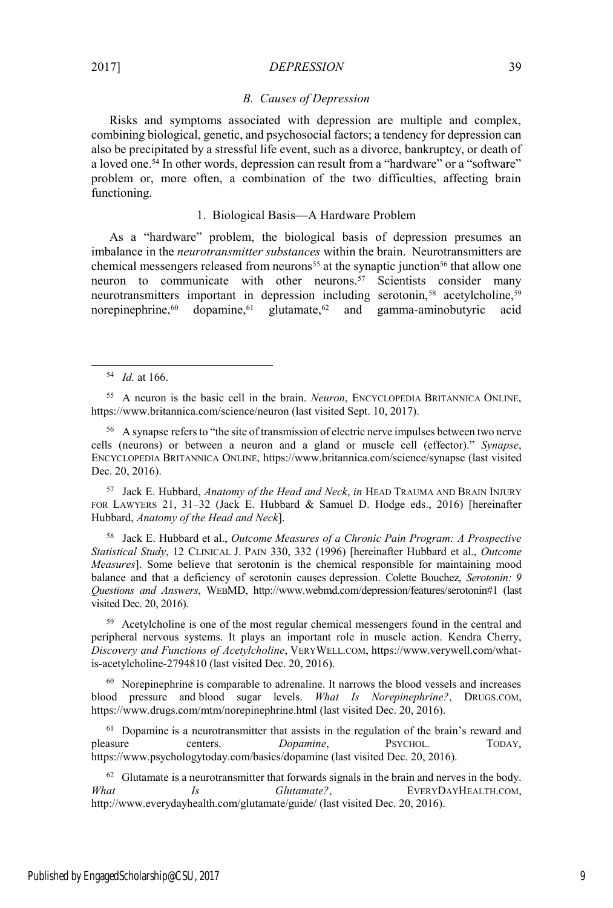### *B. Causes of Depression*

Risks and symptoms associated with depression are multiple and complex, combining biological, genetic, and psychosocial factors; a tendency for depression can also be precipitated by a stressful life event, such as a divorce, bankruptcy, or death of a loved one.<sup>54</sup> In other words, depression can result from a "hardware" or a "software" problem or, more often, a combination of the two difficulties, affecting brain functioning.

# 1. Biological Basis—A Hardware Problem

As a "hardware" problem, the biological basis of depression presumes an imbalance in the *neurotransmitter substances* within the brain. Neurotransmitters are chemical messengers released from neurons<sup>55</sup> at the synaptic junction<sup>56</sup> that allow one neuron to communicate with other neurons.<sup>57</sup> Scientists consider many neurotransmitters important in depression including serotonin,<sup>58</sup> acetylcholine,<sup>59</sup> norepinephrine, $60$  dopamine, $61$  glutamate, $62$  and gamma-aminobutyric acid

<sup>57</sup> Jack E. Hubbard, *Anatomy of the Head and Neck*, *in* HEAD TRAUMA AND BRAIN INJURY FOR LAWYERS 21, 31–32 (Jack E. Hubbard & Samuel D. Hodge eds., 2016) [hereinafter Hubbard, *Anatomy of the Head and Neck*].

<sup>58</sup> Jack E. Hubbard et al., *Outcome Measures of a Chronic Pain Program: A Prospective Statistical Study*, 12 CLINICAL J. PAIN 330, 332 (1996) [hereinafter Hubbard et al., *Outcome Measures*]. Some believe that serotonin is the chemical responsible for maintaining mood balance and that a deficiency of serotonin causes depression. Colette Bouchez, *Serotonin: 9 Questions and Answers*, WEBMD, http://www.webmd.com/depression/features/serotonin#1 (last visited Dec. 20, 2016).

<sup>59</sup> Acetylcholine is one of the most regular chemical messengers found in the central and peripheral nervous systems. It plays an important role in muscle action. Kendra Cherry, *Discovery and Functions of Acetylcholine*, VERYWELL.COM, https://www.verywell.com/whatis-acetylcholine-2794810 (last visited Dec. 20, 2016).

<sup>60</sup> Norepinephrine is comparable to adrenaline. It narrows the blood vessels and increases blood pressure and blood sugar levels. *What Is Norepinephrine?*, DRUGS.COM, https://www.drugs.com/mtm/norepinephrine.html (last visited Dec. 20, 2016).

<sup>61</sup> Dopamine is a neurotransmitter that assists in the regulation of the brain's reward and pleasure centers. *Dopamine*, PSYCHOL. TODAY, https://www.psychologytoday.com/basics/dopamine (last visited Dec. 20, 2016).

 $62$  Glutamate is a neurotransmitter that forwards signals in the brain and nerves in the body. *What Is Glutamate?*, EVERYDAYHEALTH.COM, http://www.everydayhealth.com/glutamate/guide/ (last visited Dec. 20, 2016).

 <sup>54</sup> *Id.* at 166.

<sup>55</sup> A neuron is the basic cell in the brain. *Neuron*, ENCYCLOPEDIA BRITANNICA ONLINE, https://www.britannica.com/science/neuron (last visited Sept. 10, 2017).

<sup>&</sup>lt;sup>56</sup> A synapse refers to "the site of transmission of electric nerve impulses between two nerve cells (neurons) or between a neuron and a gland or muscle cell (effector)." *Synapse*, ENCYCLOPEDIA BRITANNICA ONLINE, https://www.britannica.com/science/synapse (last visited Dec. 20, 2016).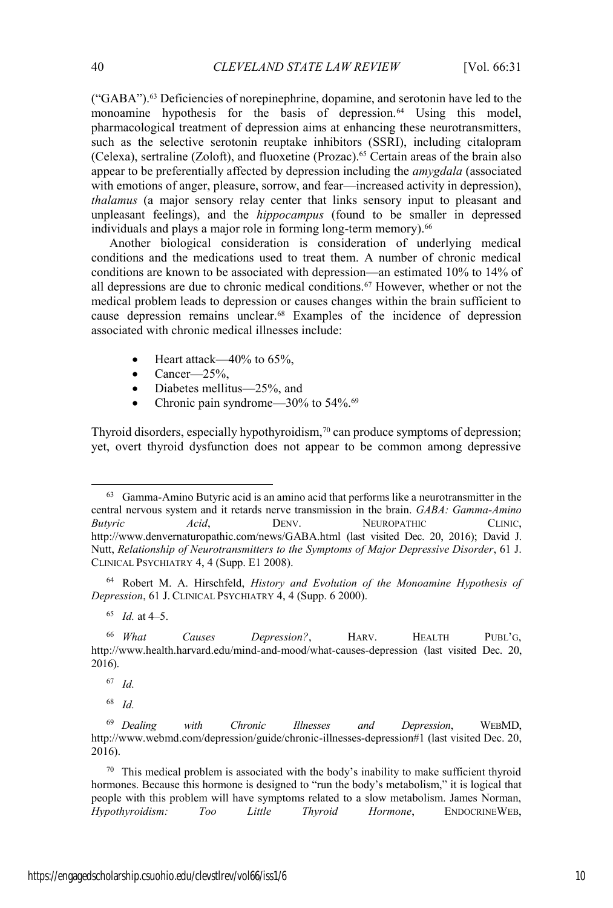("GABA").63 Deficiencies of norepinephrine, dopamine, and serotonin have led to the monoamine hypothesis for the basis of depression.<sup>64</sup> Using this model, pharmacological treatment of depression aims at enhancing these neurotransmitters, such as the selective serotonin reuptake inhibitors (SSRI), including citalopram (Celexa), sertraline (Zoloft), and fluoxetine (Prozac).65 Certain areas of the brain also appear to be preferentially affected by depression including the *amygdala* (associated with emotions of anger, pleasure, sorrow, and fear—increased activity in depression), *thalamus* (a major sensory relay center that links sensory input to pleasant and unpleasant feelings), and the *hippocampus* (found to be smaller in depressed individuals and plays a major role in forming long-term memory).<sup>66</sup>

Another biological consideration is consideration of underlying medical conditions and the medications used to treat them. A number of chronic medical conditions are known to be associated with depression—an estimated 10% to 14% of all depressions are due to chronic medical conditions.67 However, whether or not the medical problem leads to depression or causes changes within the brain sufficient to cause depression remains unclear.68 Examples of the incidence of depression associated with chronic medical illnesses include:

- Heart attack—40% to  $65\%$ .
- Cancer— $25\%$ ,
- Diabetes mellitus—25%, and
- Chronic pain syndrome— $30\%$  to  $54\%$ .<sup>69</sup>

Thyroid disorders, especially hypothyroidism,<sup>70</sup> can produce symptoms of depression; yet, overt thyroid dysfunction does not appear to be common among depressive

<sup>64</sup> Robert M. A. Hirschfeld, *History and Evolution of the Monoamine Hypothesis of Depression*, 61 J. CLINICAL PSYCHIATRY 4, 4 (Supp. 6 2000).

 <sup>63</sup> Gamma-Amino Butyric acid is an amino acid that performs like a neurotransmitter in the central nervous system and it retards nerve transmission in the brain. *GABA: Gamma-Amino Butyric Acid*, DENV. NEUROPATHIC CLINIC, http://www.denvernaturopathic.com/news/GABA.html (last visited Dec. 20, 2016); David J. Nutt, *Relationship of Neurotransmitters to the Symptoms of Major Depressive Disorder*, 61 J. CLINICAL PSYCHIATRY 4, 4 (Supp. E1 2008).

<sup>65</sup> *Id.* at 4–5.

<sup>66</sup> *What Causes Depression?*, HARV. HEALTH PUBL'G, http://www.health.harvard.edu/mind-and-mood/what-causes-depression (last visited Dec. 20, 2016).

<sup>67</sup> *Id.*

<sup>69</sup> *Dealing with Chronic Illnesses and Depression*, WEBMD, http://www.webmd.com/depression/guide/chronic-illnesses-depression#1 (last visited Dec. 20, 2016).

<sup>70</sup> This medical problem is associated with the body's inability to make sufficient thyroid hormones. Because this hormone is designed to "run the body's metabolism," it is logical that people with this problem will have symptoms related to a slow metabolism. James Norman, *Hypothyroidism: Too Little Thyroid Hormone*, ENDOCRINEWEB,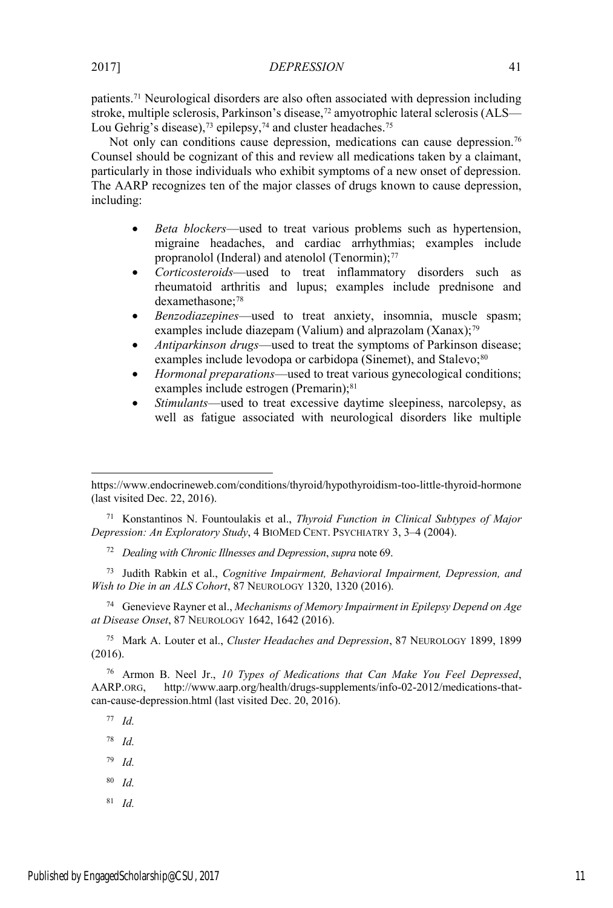patients.71 Neurological disorders are also often associated with depression including stroke, multiple sclerosis, Parkinson's disease,<sup>72</sup> amyotrophic lateral sclerosis (ALS— Lou Gehrig's disease),<sup>73</sup> epilepsy,<sup>74</sup> and cluster headaches.<sup>75</sup>

Not only can conditions cause depression, medications can cause depression.<sup>76</sup> Counsel should be cognizant of this and review all medications taken by a claimant, particularly in those individuals who exhibit symptoms of a new onset of depression. The AARP recognizes ten of the major classes of drugs known to cause depression, including:

- *Beta blockers*—used to treat various problems such as hypertension, migraine headaches, and cardiac arrhythmias; examples include propranolol (Inderal) and atenolol (Tenormin);<sup>77</sup>
- x *Corticosteroids*—used to treat inflammatory disorders such as rheumatoid arthritis and lupus; examples include prednisone and dexamethasone;<sup>78</sup>
- x *Benzodiazepines*—used to treat anxiety, insomnia, muscle spasm; examples include diazepam (Valium) and alprazolam (Xanax);<sup>79</sup>
- x *Antiparkinson drugs*—used to treat the symptoms of Parkinson disease; examples include levodopa or carbidopa (Sinemet), and Stalevo;<sup>80</sup>
- *Hormonal preparations*—used to treat various gynecological conditions; examples include estrogen (Premarin);<sup>81</sup>
- *Stimulants*—used to treat excessive daytime sleepiness, narcolepsy, as well as fatigue associated with neurological disorders like multiple

<sup>71</sup> Konstantinos N. Fountoulakis et al., *Thyroid Function in Clinical Subtypes of Major Depression: An Exploratory Study*, 4 BIOMED CENT. PSYCHIATRY 3, 3–4 (2004).

<sup>72</sup> *Dealing with Chronic Illnesses and Depression*, *supra* note 69.

<sup>73</sup> Judith Rabkin et al., *Cognitive Impairment, Behavioral Impairment, Depression, and Wish to Die in an ALS Cohort*, 87 NEUROLOGY 1320, 1320 (2016).

<sup>74</sup> Genevieve Rayner et al., *Mechanisms of Memory Impairment in Epilepsy Depend on Age at Disease Onset*, 87 NEUROLOGY 1642, 1642 (2016).

<sup>75</sup> Mark A. Louter et al., *Cluster Headaches and Depression*, 87 NEUROLOGY 1899, 1899 (2016).

<sup>76</sup> Armon B. Neel Jr., *10 Types of Medications that Can Make You Feel Depressed*, AARP.ORG, http://www.aarp.org/health/drugs-supplements/info-02-2012/medications-thatcan-cause-depression.html (last visited Dec. 20, 2016).

<sup>77</sup> *Id.*

 $\overline{\phantom{a}}$ 

<sup>78</sup> *Id.*

- <sup>80</sup> *Id.*
- <sup>81</sup> *Id.*

https://www.endocrineweb.com/conditions/thyroid/hypothyroidism-too-little-thyroid-hormone (last visited Dec. 22, 2016).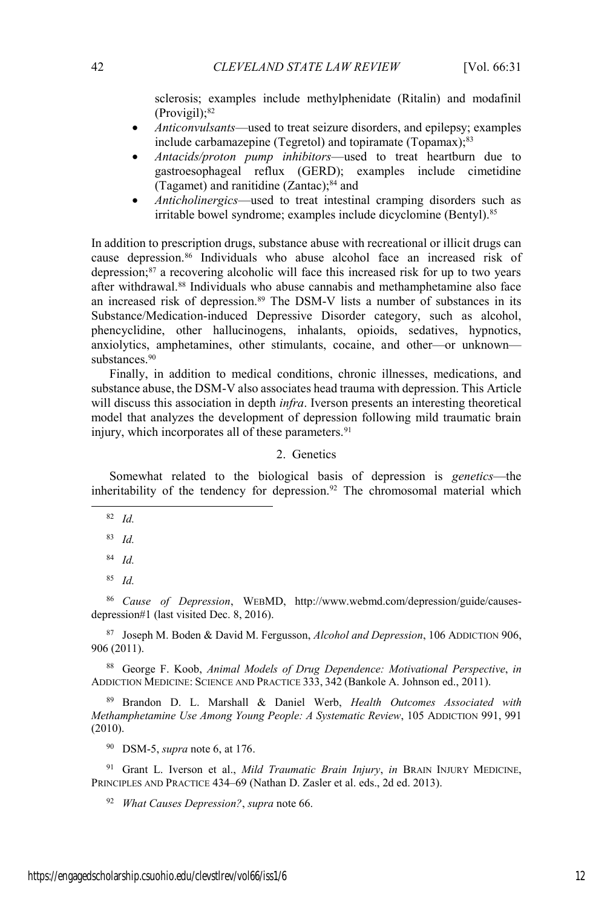sclerosis; examples include methylphenidate (Ritalin) and modafinil (Provigil);82

- *Anticonvulsants*—used to treat seizure disorders, and epilepsy; examples include carbamazepine (Tegretol) and topiramate (Topamax);<sup>83</sup>
- x *Antacids/proton pump inhibitors*—used to treat heartburn due to gastroesophageal reflux (GERD); examples include cimetidine (Tagamet) and ranitidine (Zantac);84 and
- x *Anticholinergics*—used to treat intestinal cramping disorders such as irritable bowel syndrome; examples include dicyclomine (Bentyl).<sup>85</sup>

In addition to prescription drugs, substance abuse with recreational or illicit drugs can cause depression.86 Individuals who abuse alcohol face an increased risk of depression;87 a recovering alcoholic will face this increased risk for up to two years after withdrawal.88 Individuals who abuse cannabis and methamphetamine also face an increased risk of depression.<sup>89</sup> The DSM-V lists a number of substances in its Substance/Medication-induced Depressive Disorder category, such as alcohol, phencyclidine, other hallucinogens, inhalants, opioids, sedatives, hypnotics, anxiolytics, amphetamines, other stimulants, cocaine, and other—or unknown substances.<sup>90</sup>

Finally, in addition to medical conditions, chronic illnesses, medications, and substance abuse, the DSM-V also associates head trauma with depression. This Article will discuss this association in depth *infra*. Iverson presents an interesting theoretical model that analyzes the development of depression following mild traumatic brain injury, which incorporates all of these parameters.<sup>91</sup>

# 2. Genetics

Somewhat related to the biological basis of depression is *genetics*—the inheritability of the tendency for depression.<sup>92</sup> The chromosomal material which

82 *Id.*

- <sup>83</sup> *Id.*
- <sup>84</sup> *Id.*
- <sup>85</sup> *Id.*

<sup>86</sup> *Cause of Depression*, WEBMD, http://www.webmd.com/depression/guide/causesdepression#1 (last visited Dec. 8, 2016).

<sup>87</sup> Joseph M. Boden & David M. Fergusson, *Alcohol and Depression*, 106 ADDICTION 906, 906 (2011).

<sup>88</sup> George F. Koob, *Animal Models of Drug Dependence: Motivational Perspective*, *in* ADDICTION MEDICINE: SCIENCE AND PRACTICE 333, 342 (Bankole A. Johnson ed., 2011).

<sup>89</sup> Brandon D. L. Marshall & Daniel Werb, *Health Outcomes Associated with Methamphetamine Use Among Young People: A Systematic Review*, 105 ADDICTION 991, 991 (2010).

<sup>90</sup> DSM-5, *supra* note 6, at 176.

<sup>91</sup> Grant L. Iverson et al., *Mild Traumatic Brain Injury*, *in* BRAIN INJURY MEDICINE, PRINCIPLES AND PRACTICE 434–69 (Nathan D. Zasler et al. eds., 2d ed. 2013).

<sup>92</sup> *What Causes Depression?*, *supra* note 66.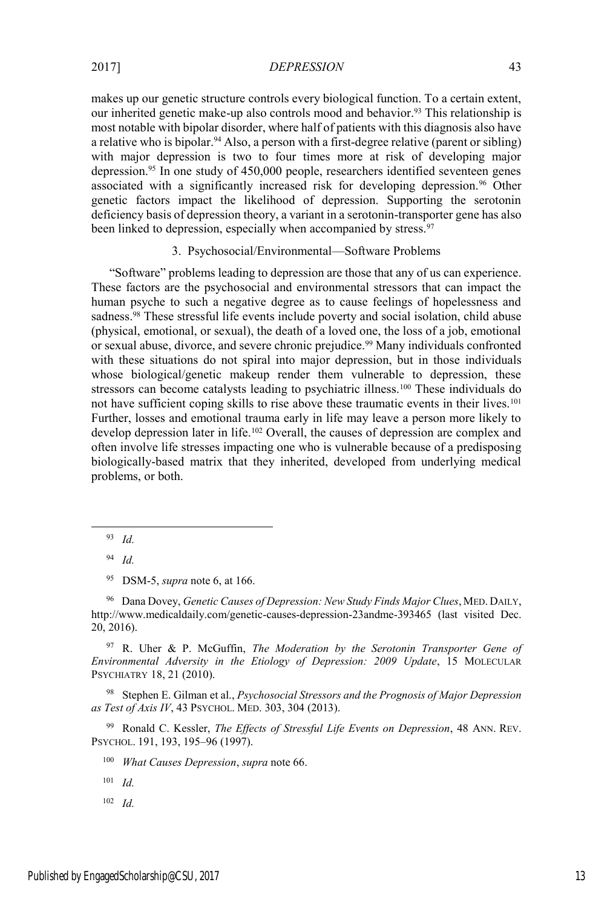makes up our genetic structure controls every biological function. To a certain extent, our inherited genetic make-up also controls mood and behavior.<sup>93</sup> This relationship is most notable with bipolar disorder, where half of patients with this diagnosis also have a relative who is bipolar.<sup>94</sup> Also, a person with a first-degree relative (parent or sibling) with major depression is two to four times more at risk of developing major depression.95 In one study of 450,000 people, researchers identified seventeen genes associated with a significantly increased risk for developing depression.<sup>96</sup> Other genetic factors impact the likelihood of depression. Supporting the serotonin deficiency basis of depression theory, a variant in a serotonin-transporter gene has also been linked to depression, especially when accompanied by stress.<sup>97</sup>

# 3. Psychosocial/Environmental—Software Problems

"Software" problems leading to depression are those that any of us can experience. These factors are the psychosocial and environmental stressors that can impact the human psyche to such a negative degree as to cause feelings of hopelessness and sadness.<sup>98</sup> These stressful life events include poverty and social isolation, child abuse (physical, emotional, or sexual), the death of a loved one, the loss of a job, emotional or sexual abuse, divorce, and severe chronic prejudice.99 Many individuals confronted with these situations do not spiral into major depression, but in those individuals whose biological/genetic makeup render them vulnerable to depression, these stressors can become catalysts leading to psychiatric illness.<sup>100</sup> These individuals do not have sufficient coping skills to rise above these traumatic events in their lives.<sup>101</sup> Further, losses and emotional trauma early in life may leave a person more likely to develop depression later in life.102 Overall, the causes of depression are complex and often involve life stresses impacting one who is vulnerable because of a predisposing biologically-based matrix that they inherited, developed from underlying medical problems, or both.

<sup>96</sup> Dana Dovey, *Genetic Causes of Depression: New Study Finds Major Clues*, MED. DAILY, http://www.medicaldaily.com/genetic-causes-depression-23andme-393465 (last visited Dec. 20, 2016).

<sup>97</sup> R. Uher & P. McGuffin, *The Moderation by the Serotonin Transporter Gene of Environmental Adversity in the Etiology of Depression: 2009 Update*, 15 MOLECULAR PSYCHIATRY 18, 21 (2010).

<sup>98</sup> Stephen E. Gilman et al., *Psychosocial Stressors and the Prognosis of Major Depression as Test of Axis IV*, 43 PSYCHOL. MED. 303, 304 (2013).

<sup>99</sup> Ronald C. Kessler, *The Effects of Stressful Life Events on Depression*, 48 ANN. REV. PSYCHOL. 191, 193, 195–96 (1997).

<sup>100</sup> *What Causes Depression*, *supra* note 66.

<sup>101</sup> *Id.*

 <sup>93</sup> *Id.*

<sup>94</sup> *Id.*

<sup>95</sup> DSM-5, *supra* note 6, at 166.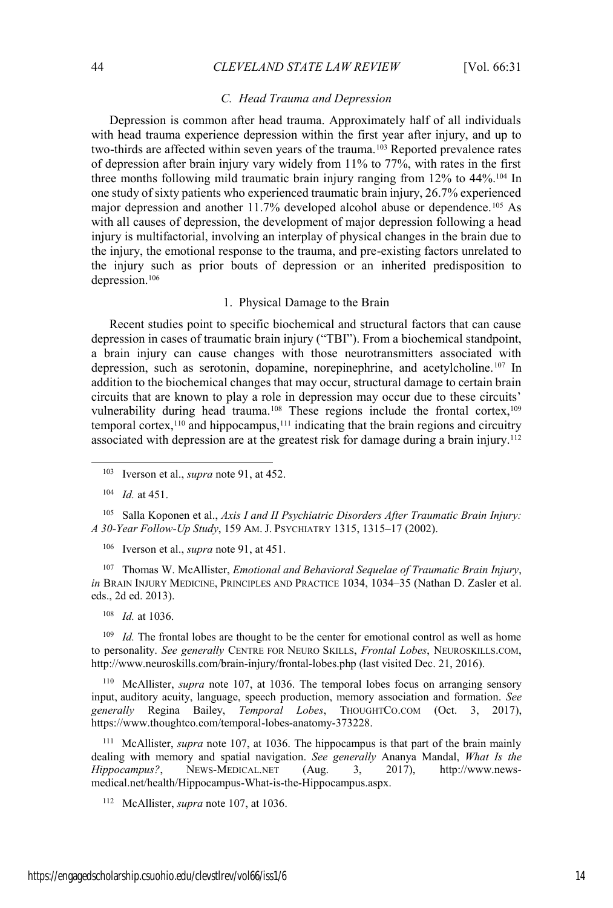#### *C. Head Trauma and Depression*

Depression is common after head trauma. Approximately half of all individuals with head trauma experience depression within the first year after injury, and up to two-thirds are affected within seven years of the trauma.<sup>103</sup> Reported prevalence rates of depression after brain injury vary widely from 11% to 77%, with rates in the first three months following mild traumatic brain injury ranging from 12% to 44%.<sup>104</sup> In one study of sixty patients who experienced traumatic brain injury, 26.7% experienced major depression and another 11.7% developed alcohol abuse or dependence.<sup>105</sup> As with all causes of depression, the development of major depression following a head injury is multifactorial, involving an interplay of physical changes in the brain due to the injury, the emotional response to the trauma, and pre-existing factors unrelated to the injury such as prior bouts of depression or an inherited predisposition to depression.106

## 1. Physical Damage to the Brain

Recent studies point to specific biochemical and structural factors that can cause depression in cases of traumatic brain injury ("TBI"). From a biochemical standpoint, a brain injury can cause changes with those neurotransmitters associated with depression, such as serotonin, dopamine, norepinephrine, and acetylcholine.107 In addition to the biochemical changes that may occur, structural damage to certain brain circuits that are known to play a role in depression may occur due to these circuits' vulnerability during head trauma.<sup>108</sup> These regions include the frontal cortex,<sup>109</sup> temporal cortex,<sup>110</sup> and hippocampus,<sup>111</sup> indicating that the brain regions and circuitry associated with depression are at the greatest risk for damage during a brain injury.<sup>112</sup>

<sup>105</sup> Salla Koponen et al., *Axis I and II Psychiatric Disorders After Traumatic Brain Injury: A 30-Year Follow-Up Study*, 159 AM. J. PSYCHIATRY 1315, 1315–17 (2002).

<sup>106</sup> Iverson et al., *supra* note 91, at 451.

<sup>107</sup> Thomas W. McAllister, *Emotional and Behavioral Sequelae of Traumatic Brain Injury*, *in* BRAIN INJURY MEDICINE, PRINCIPLES AND PRACTICE 1034, 1034–35 (Nathan D. Zasler et al. eds., 2d ed. 2013).

<sup>108</sup> *Id.* at 1036.

*Id.* The frontal lobes are thought to be the center for emotional control as well as home to personality. *See generally* CENTRE FOR NEURO SKILLS, *Frontal Lobes*, NEUROSKILLS.COM, http://www.neuroskills.com/brain-injury/frontal-lobes.php (last visited Dec. 21, 2016).

<sup>110</sup> McAllister, *supra* note 107, at 1036. The temporal lobes focus on arranging sensory input, auditory acuity, language, speech production, memory association and formation. *See generally* Regina Bailey, *Temporal Lobes*, THOUGHTCO.COM (Oct. 3, 2017), https://www.thoughtco.com/temporal-lobes-anatomy-373228.

<sup>111</sup> McAllister, *supra* note 107, at 1036. The hippocampus is that part of the brain mainly dealing with memory and spatial navigation. *See generally* Ananya Mandal, *What Is the Hippocampus?*, NEWS-MEDICAL.NET (Aug. 3, 2017), http://www.newsmedical.net/health/Hippocampus-What-is-the-Hippocampus.aspx.

<sup>112</sup> McAllister, *supra* note 107, at 1036.

 <sup>103</sup> Iverson et al., *supra* note 91, at 452.

<sup>104</sup> *Id.* at 451.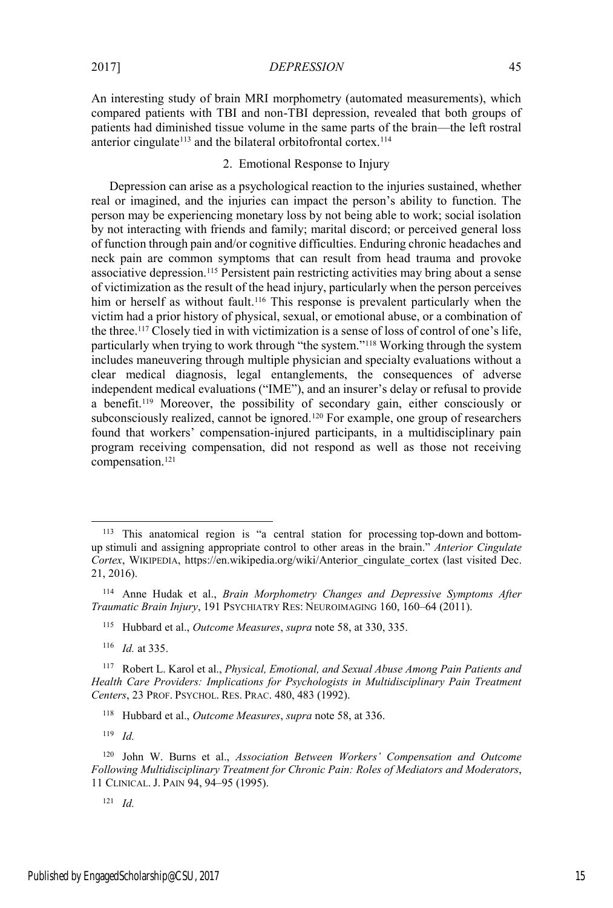An interesting study of brain MRI morphometry (automated measurements), which compared patients with TBI and non-TBI depression, revealed that both groups of patients had diminished tissue volume in the same parts of the brain—the left rostral anterior cingulate<sup>113</sup> and the bilateral orbitofrontal cortex.<sup>114</sup>

# 2. Emotional Response to Injury

Depression can arise as a psychological reaction to the injuries sustained, whether real or imagined, and the injuries can impact the person's ability to function. The person may be experiencing monetary loss by not being able to work; social isolation by not interacting with friends and family; marital discord; or perceived general loss of function through pain and/or cognitive difficulties. Enduring chronic headaches and neck pain are common symptoms that can result from head trauma and provoke associative depression.115 Persistent pain restricting activities may bring about a sense of victimization as the result of the head injury, particularly when the person perceives him or herself as without fault.<sup>116</sup> This response is prevalent particularly when the victim had a prior history of physical, sexual, or emotional abuse, or a combination of the three.117 Closely tied in with victimization is a sense of loss of control of one's life, particularly when trying to work through "the system."<sup>118</sup> Working through the system includes maneuvering through multiple physician and specialty evaluations without a clear medical diagnosis, legal entanglements, the consequences of adverse independent medical evaluations ("IME"), and an insurer's delay or refusal to provide a benefit.119 Moreover, the possibility of secondary gain, either consciously or subconsciously realized, cannot be ignored.<sup>120</sup> For example, one group of researchers found that workers' compensation-injured participants, in a multidisciplinary pain program receiving compensation, did not respond as well as those not receiving compensation.121

 <sup>113</sup> This anatomical region is "a central station for processing top-down and bottomup stimuli and assigning appropriate control to other areas in the brain." *Anterior Cingulate Cortex*, WIKIPEDIA, https://en.wikipedia.org/wiki/Anterior\_cingulate\_cortex (last visited Dec. 21, 2016).

<sup>114</sup> Anne Hudak et al., *Brain Morphometry Changes and Depressive Symptoms After Traumatic Brain Injury*, 191 PSYCHIATRY RES: NEUROIMAGING 160, 160–64 (2011).

<sup>115</sup> Hubbard et al., *Outcome Measures*, *supra* note 58, at 330, 335.

<sup>116</sup> *Id.* at 335.

<sup>117</sup> Robert L. Karol et al., *Physical, Emotional, and Sexual Abuse Among Pain Patients and Health Care Providers: Implications for Psychologists in Multidisciplinary Pain Treatment Centers*, 23 PROF. PSYCHOL. RES. PRAC. 480, 483 (1992).

<sup>118</sup> Hubbard et al., *Outcome Measures*, *supra* note 58, at 336.

<sup>120</sup> John W. Burns et al., *Association Between Workers' Compensation and Outcome Following Multidisciplinary Treatment for Chronic Pain: Roles of Mediators and Moderators*, 11 CLINICAL. J. PAIN 94, 94–95 (1995).

<sup>121</sup> *Id.*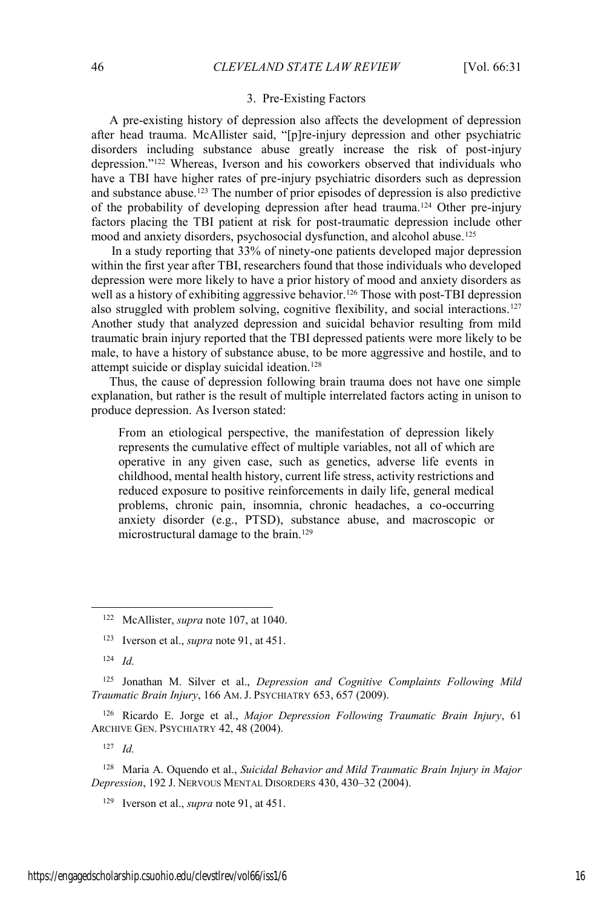#### 3. Pre-Existing Factors

A pre-existing history of depression also affects the development of depression after head trauma. McAllister said, "[p]re-injury depression and other psychiatric disorders including substance abuse greatly increase the risk of post-injury depression."<sup>122</sup> Whereas, Iverson and his coworkers observed that individuals who have a TBI have higher rates of pre-injury psychiatric disorders such as depression and substance abuse.123 The number of prior episodes of depression is also predictive of the probability of developing depression after head trauma.124 Other pre-injury factors placing the TBI patient at risk for post-traumatic depression include other mood and anxiety disorders, psychosocial dysfunction, and alcohol abuse.125

In a study reporting that 33% of ninety-one patients developed major depression within the first year after TBI, researchers found that those individuals who developed depression were more likely to have a prior history of mood and anxiety disorders as well as a history of exhibiting aggressive behavior.<sup>126</sup> Those with post-TBI depression also struggled with problem solving, cognitive flexibility, and social interactions.<sup>127</sup> Another study that analyzed depression and suicidal behavior resulting from mild traumatic brain injury reported that the TBI depressed patients were more likely to be male, to have a history of substance abuse, to be more aggressive and hostile, and to attempt suicide or display suicidal ideation.<sup>128</sup>

Thus, the cause of depression following brain trauma does not have one simple explanation, but rather is the result of multiple interrelated factors acting in unison to produce depression. As Iverson stated:

From an etiological perspective, the manifestation of depression likely represents the cumulative effect of multiple variables, not all of which are operative in any given case, such as genetics, adverse life events in childhood, mental health history, current life stress, activity restrictions and reduced exposure to positive reinforcements in daily life, general medical problems, chronic pain, insomnia, chronic headaches, a co-occurring anxiety disorder (e.g., PTSD), substance abuse, and macroscopic or microstructural damage to the brain.129

<sup>124</sup> *Id.*

<sup>125</sup> Jonathan M. Silver et al., *Depression and Cognitive Complaints Following Mild Traumatic Brain Injury*, 166 AM. J. PSYCHIATRY 653, 657 (2009).

<sup>126</sup> Ricardo E. Jorge et al., *Major Depression Following Traumatic Brain Injury*, 61 ARCHIVE GEN. PSYCHIATRY 42, 48 (2004).

<sup>127</sup> *Id.*

<sup>128</sup> Maria A. Oquendo et al., *Suicidal Behavior and Mild Traumatic Brain Injury in Major Depression*, 192 J. NERVOUS MENTAL DISORDERS 430, 430–32 (2004).

<sup>129</sup> Iverson et al., *supra* note 91, at 451.

 <sup>122</sup> McAllister, *supra* note 107, at 1040.

<sup>123</sup> Iverson et al., *supra* note 91, at 451.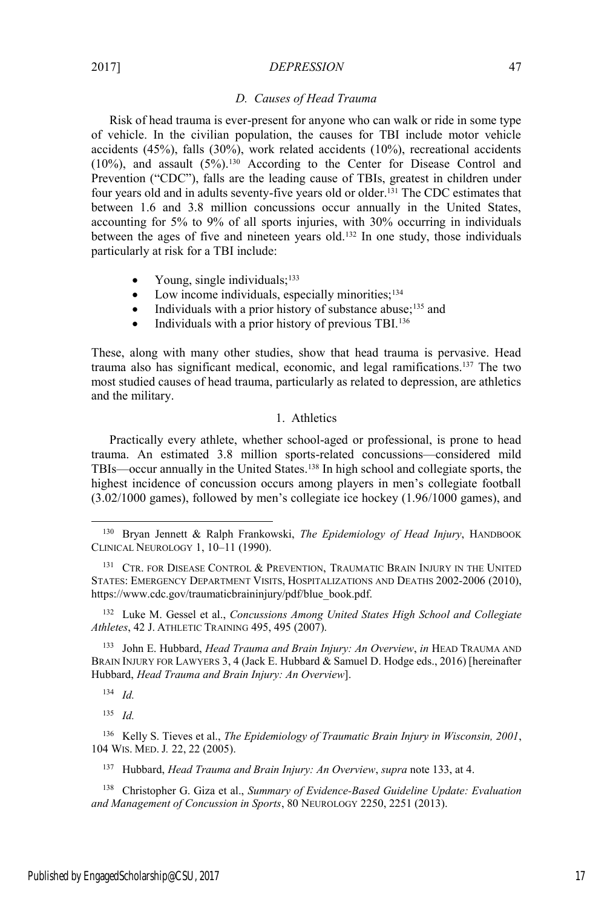## *D. Causes of Head Trauma*

Risk of head trauma is ever-present for anyone who can walk or ride in some type of vehicle. In the civilian population, the causes for TBI include motor vehicle accidents (45%), falls (30%), work related accidents (10%), recreational accidents (10%), and assault  $(5\%)$ .<sup>130</sup> According to the Center for Disease Control and Prevention ("CDC"), falls are the leading cause of TBIs, greatest in children under four years old and in adults seventy-five years old or older.131 The CDC estimates that between 1.6 and 3.8 million concussions occur annually in the United States, accounting for 5% to 9% of all sports injuries, with 30% occurring in individuals between the ages of five and nineteen years old.132 In one study, those individuals particularly at risk for a TBI include:

- Young, single individuals;<sup>133</sup>
- Low income individuals, especially minorities; $134$
- Individuals with a prior history of substance abuse; $^{135}$  and
- Individuals with a prior history of previous TBI. $136$

These, along with many other studies, show that head trauma is pervasive. Head trauma also has significant medical, economic, and legal ramifications.137 The two most studied causes of head trauma, particularly as related to depression, are athletics and the military.

# 1. Athletics

Practically every athlete, whether school-aged or professional, is prone to head trauma. An estimated 3.8 million sports-related concussions—considered mild TBIs—occur annually in the United States.138 In high school and collegiate sports, the highest incidence of concussion occurs among players in men's collegiate football (3.02/1000 games), followed by men's collegiate ice hockey (1.96/1000 games), and

<sup>132</sup> Luke M. Gessel et al., *Concussions Among United States High School and Collegiate Athletes*, 42 J. ATHLETIC TRAINING 495, 495 (2007).

<sup>133</sup> John E. Hubbard, *Head Trauma and Brain Injury: An Overview*, *in* HEAD TRAUMA AND BRAIN INJURY FOR LAWYERS 3, 4 (Jack E. Hubbard & Samuel D. Hodge eds., 2016) [hereinafter Hubbard, *Head Trauma and Brain Injury: An Overview*].

<sup>134</sup> *Id.*

<sup>135</sup> *Id.*

<sup>136</sup> Kelly S. Tieves et al., *The Epidemiology of Traumatic Brain Injury in Wisconsin, 2001*, 104 WIS. MED. J*.* 22, 22 (2005).

<sup>137</sup> Hubbard, *Head Trauma and Brain Injury: An Overview*, *supra* note 133, at 4.

<sup>138</sup> Christopher G. Giza et al., *Summary of Evidence-Based Guideline Update: Evaluation and Management of Concussion in Sports*, 80 NEUROLOGY 2250, 2251 (2013).

 <sup>130</sup> Bryan Jennett & Ralph Frankowski, *The Epidemiology of Head Injury*, HANDBOOK CLINICAL NEUROLOGY 1, 10–11 (1990).

<sup>&</sup>lt;sup>131</sup> CTR. FOR DISEASE CONTROL & PREVENTION, TRAUMATIC BRAIN INJURY IN THE UNITED STATES: EMERGENCY DEPARTMENT VISITS, HOSPITALIZATIONS AND DEATHS 2002-2006 (2010), https://www.cdc.gov/traumaticbraininjury/pdf/blue\_book.pdf.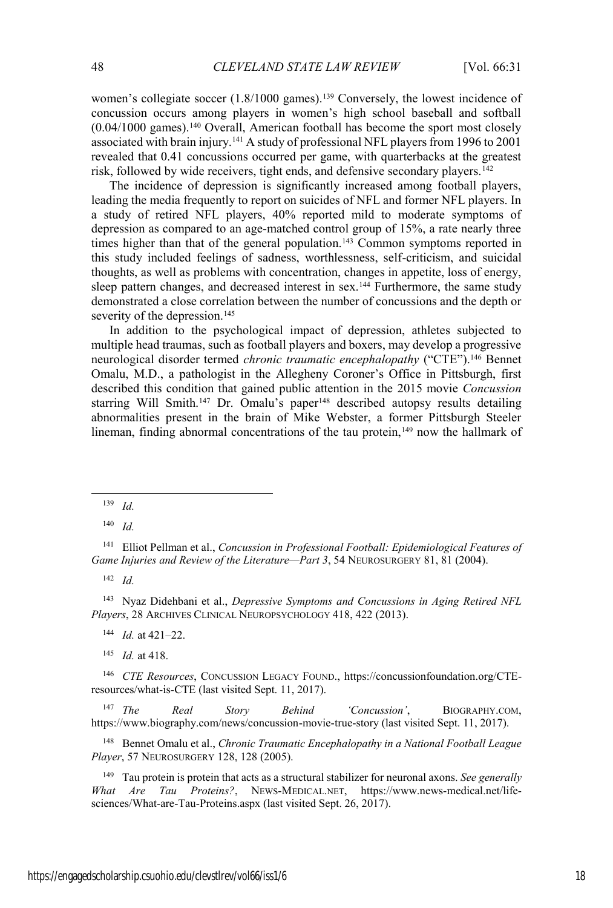women's collegiate soccer (1.8/1000 games).<sup>139</sup> Conversely, the lowest incidence of concussion occurs among players in women's high school baseball and softball  $(0.04/1000)$  games).<sup>140</sup> Overall, American football has become the sport most closely associated with brain injury.141 A study of professional NFL players from 1996 to 2001 revealed that 0.41 concussions occurred per game, with quarterbacks at the greatest risk, followed by wide receivers, tight ends, and defensive secondary players.<sup>142</sup>

The incidence of depression is significantly increased among football players, leading the media frequently to report on suicides of NFL and former NFL players. In a study of retired NFL players, 40% reported mild to moderate symptoms of depression as compared to an age-matched control group of 15%, a rate nearly three times higher than that of the general population.<sup>143</sup> Common symptoms reported in this study included feelings of sadness, worthlessness, self-criticism, and suicidal thoughts, as well as problems with concentration, changes in appetite, loss of energy, sleep pattern changes, and decreased interest in sex.<sup>144</sup> Furthermore, the same study demonstrated a close correlation between the number of concussions and the depth or severity of the depression.<sup>145</sup>

In addition to the psychological impact of depression, athletes subjected to multiple head traumas, such as football players and boxers, may develop a progressive neurological disorder termed *chronic traumatic encephalopathy* ("CTE").146 Bennet Omalu, M.D., a pathologist in the Allegheny Coroner's Office in Pittsburgh, first described this condition that gained public attention in the 2015 movie *Concussion* starring Will Smith.<sup>147</sup> Dr. Omalu's paper<sup>148</sup> described autopsy results detailing abnormalities present in the brain of Mike Webster, a former Pittsburgh Steeler lineman, finding abnormal concentrations of the tau protein,<sup>149</sup> now the hallmark of

<sup>142</sup> *Id.*

<sup>143</sup> Nyaz Didehbani et al., *Depressive Symptoms and Concussions in Aging Retired NFL Players*, 28 ARCHIVES CLINICAL NEUROPSYCHOLOGY 418, 422 (2013).

<sup>144</sup> *Id.* at 421–22.

<sup>145</sup> *Id.* at 418.

<sup>146</sup> *CTE Resources*, CONCUSSION LEGACY FOUND., https://concussionfoundation.org/CTEresources/what-is-CTE (last visited Sept. 11, 2017).

<sup>147</sup> *The Real Story Behind 'Concussion'*, BIOGRAPHY.COM, https://www.biography.com/news/concussion-movie-true-story (last visited Sept. 11, 2017).

<sup>148</sup> Bennet Omalu et al., *Chronic Traumatic Encephalopathy in a National Football League Player*, 57 NEUROSURGERY 128, 128 (2005).

<sup>149</sup> Tau protein is protein that acts as a structural stabilizer for neuronal axons. *See generally What Are Tau Proteins?*, NEWS-MEDICAL.NET, https://www.news-medical.net/lifesciences/What-are-Tau-Proteins.aspx (last visited Sept. 26, 2017).

 <sup>139</sup> *Id.*

<sup>140</sup> *Id.*

<sup>141</sup> Elliot Pellman et al., *Concussion in Professional Football: Epidemiological Features of Game Injuries and Review of the Literature—Part 3*, 54 NEUROSURGERY 81, 81 (2004).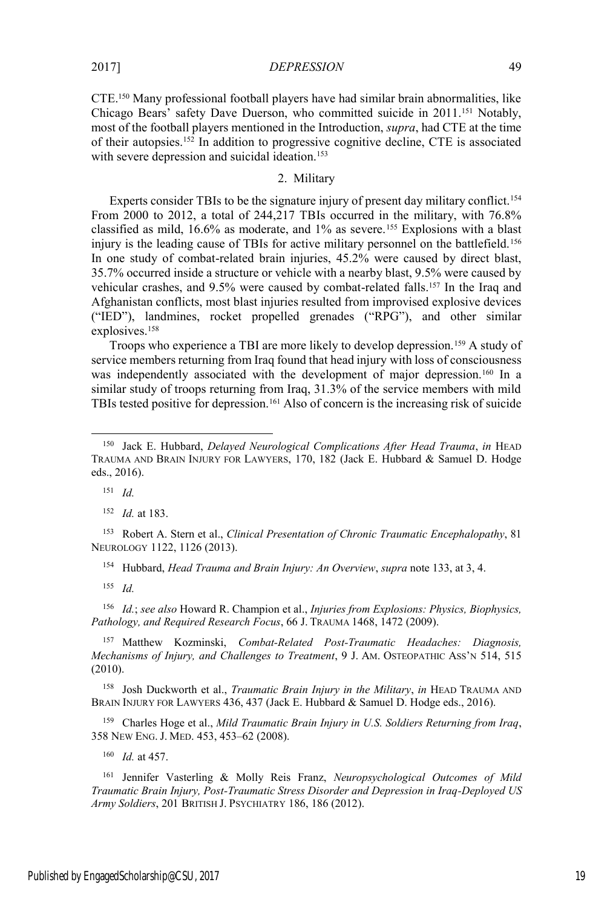CTE.150 Many professional football players have had similar brain abnormalities, like Chicago Bears' safety Dave Duerson, who committed suicide in 2011.<sup>151</sup> Notably, most of the football players mentioned in the Introduction, *supra*, had CTE at the time of their autopsies.152 In addition to progressive cognitive decline, CTE is associated with severe depression and suicidal ideation.<sup>153</sup>

# 2. Military

Experts consider TBIs to be the signature injury of present day military conflict.<sup>154</sup> From 2000 to 2012, a total of 244,217 TBIs occurred in the military, with 76.8% classified as mild, 16.6% as moderate, and 1% as severe.155 Explosions with a blast injury is the leading cause of TBIs for active military personnel on the battlefield.<sup>156</sup> In one study of combat-related brain injuries, 45.2% were caused by direct blast, 35.7% occurred inside a structure or vehicle with a nearby blast, 9.5% were caused by vehicular crashes, and 9.5% were caused by combat-related falls.157 In the Iraq and Afghanistan conflicts, most blast injuries resulted from improvised explosive devices ("IED"), landmines, rocket propelled grenades ("RPG"), and other similar explosives.158

Troops who experience a TBI are more likely to develop depression.<sup>159</sup> A study of service members returning from Iraq found that head injury with loss of consciousness was independently associated with the development of major depression.<sup>160</sup> In a similar study of troops returning from Iraq, 31.3% of the service members with mild TBIs tested positive for depression.161 Also of concern is the increasing risk of suicide

<sup>151</sup> *Id.*

<sup>152</sup> *Id.* at 183.

<sup>153</sup> Robert A. Stern et al., *Clinical Presentation of Chronic Traumatic Encephalopathy*, 81 NEUROLOGY 1122, 1126 (2013).

<sup>154</sup> Hubbard, *Head Trauma and Brain Injury: An Overview*, *supra* note 133, at 3, 4.

<sup>155</sup> *Id.*

<sup>156</sup> *Id.*; *see also* Howard R. Champion et al., *Injuries from Explosions: Physics, Biophysics, Pathology, and Required Research Focus*, 66 J. TRAUMA 1468, 1472 (2009).

<sup>157</sup> Matthew Kozminski, *Combat-Related Post-Traumatic Headaches: Diagnosis, Mechanisms of Injury, and Challenges to Treatment*, 9 J. AM. OSTEOPATHIC ASS'N 514, 515 (2010).

<sup>158</sup> Josh Duckworth et al., *Traumatic Brain Injury in the Military*, *in* HEAD TRAUMA AND BRAIN INJURY FOR LAWYERS 436, 437 (Jack E. Hubbard & Samuel D. Hodge eds., 2016).

<sup>159</sup> Charles Hoge et al., *Mild Traumatic Brain Injury in U.S. Soldiers Returning from Iraq*, 358 NEW ENG. J. MED. 453, 453–62 (2008).

<sup>160</sup> *Id.* at 457.

<sup>161</sup> Jennifer Vasterling & Molly Reis Franz, *Neuropsychological Outcomes of Mild Traumatic Brain Injury, Post-Traumatic Stress Disorder and Depression in Iraq-Deployed US Army Soldiers*, 201 BRITISH J. PSYCHIATRY 186, 186 (2012).

 <sup>150</sup> Jack E. Hubbard, *Delayed Neurological Complications After Head Trauma*, *in* HEAD TRAUMA AND BRAIN INJURY FOR LAWYERS, 170, 182 (Jack E. Hubbard & Samuel D. Hodge eds., 2016).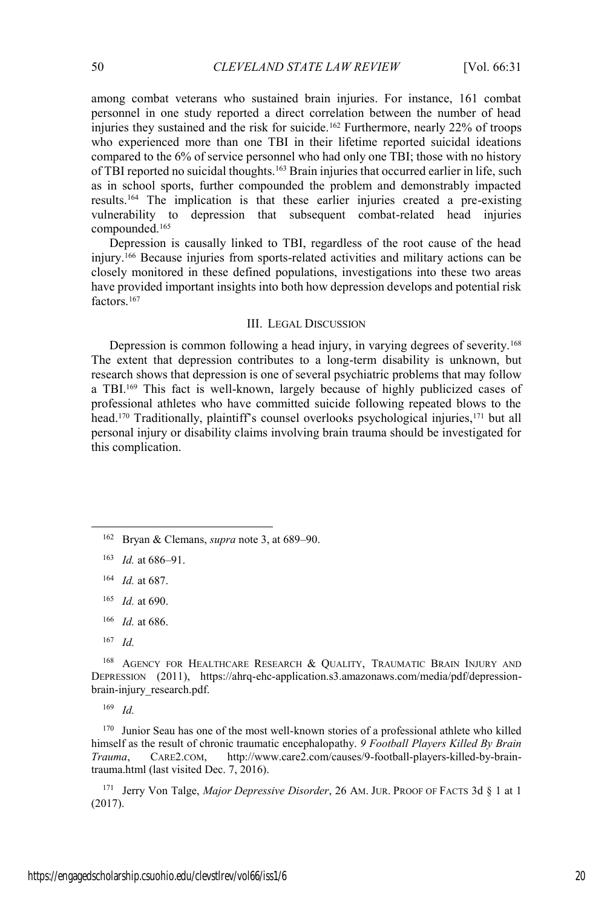among combat veterans who sustained brain injuries. For instance, 161 combat personnel in one study reported a direct correlation between the number of head injuries they sustained and the risk for suicide.<sup>162</sup> Furthermore, nearly 22% of troops who experienced more than one TBI in their lifetime reported suicidal ideations compared to the 6% of service personnel who had only one TBI; those with no history of TBI reported no suicidal thoughts.<sup>163</sup> Brain injuries that occurred earlier in life, such as in school sports, further compounded the problem and demonstrably impacted results.164 The implication is that these earlier injuries created a pre-existing vulnerability to depression that subsequent combat-related head injuries compounded.165

Depression is causally linked to TBI, regardless of the root cause of the head injury.166 Because injuries from sports-related activities and military actions can be closely monitored in these defined populations, investigations into these two areas have provided important insights into both how depression develops and potential risk factors.<sup>167</sup>

## III. LEGAL DISCUSSION

Depression is common following a head injury, in varying degrees of severity.168 The extent that depression contributes to a long-term disability is unknown, but research shows that depression is one of several psychiatric problems that may follow a TBI.<sup>169</sup> This fact is well-known, largely because of highly publicized cases of professional athletes who have committed suicide following repeated blows to the head.<sup>170</sup> Traditionally, plaintiff's counsel overlooks psychological injuries,<sup>171</sup> but all personal injury or disability claims involving brain trauma should be investigated for this complication.

<sup>167</sup> *Id.*

<sup>168</sup> AGENCY FOR HEALTHCARE RESEARCH & QUALITY, TRAUMATIC BRAIN INJURY AND DEPRESSION (2011), https://ahrq-ehc-application.s3.amazonaws.com/media/pdf/depressionbrain-injury\_research.pdf.

<sup>169</sup> *Id.*

<sup>170</sup> Junior Seau has one of the most well-known stories of a professional athlete who killed himself as the result of chronic traumatic encephalopathy. *9 Football Players Killed By Brain Trauma*, CARE2.COM, http://www.care2.com/causes/9-football-players-killed-by-braintrauma.html (last visited Dec. 7, 2016).

<sup>171</sup> Jerry Von Talge, *Major Depressive Disorder*, 26 AM. JUR. PROOF OF FACTS 3d § 1 at 1 (2017).

 <sup>162</sup> Bryan & Clemans, *supra* note 3, at 689–90.

<sup>163</sup> *Id.* at 686–91.

<sup>164</sup> *Id.* at 687.

<sup>165</sup> *Id.* at 690.

<sup>166</sup> *Id.* at 686.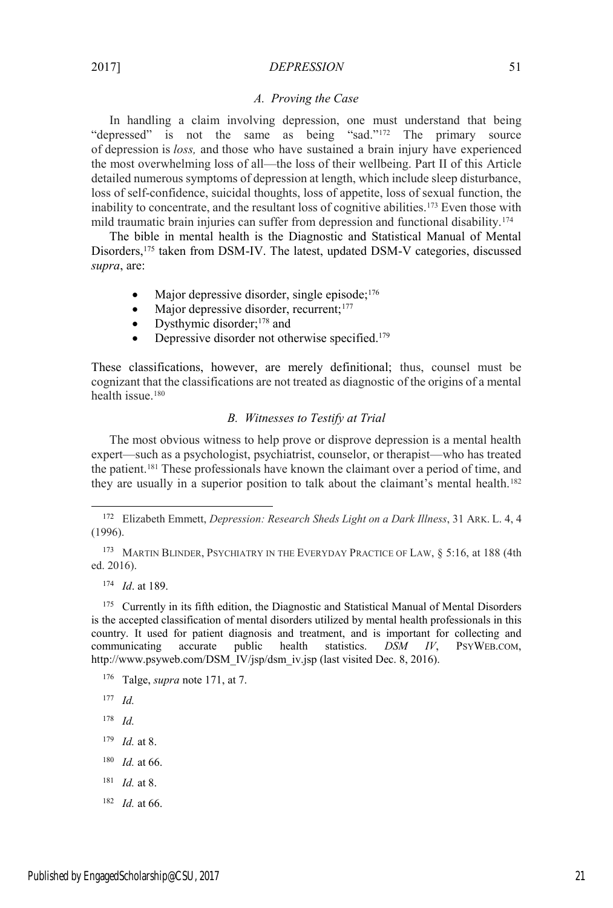#### *A. Proving the Case*

In handling a claim involving depression, one must understand that being "depressed" is not the same as being "sad."<sup>172</sup> The primary source of depression is *loss,* and those who have sustained a brain injury have experienced the most overwhelming loss of all—the loss of their wellbeing. Part II of this Article detailed numerous symptoms of depression at length, which include sleep disturbance, loss of self-confidence, suicidal thoughts, loss of appetite, loss of sexual function, the inability to concentrate, and the resultant loss of cognitive abilities.<sup>173</sup> Even those with mild traumatic brain injuries can suffer from depression and functional disability.174

The bible in mental health is the Diagnostic and Statistical Manual of Mental Disorders,175 taken from DSM-IV. The latest, updated DSM-V categories, discussed *supra*, are:

- Major depressive disorder, single episode;<sup>176</sup>
- $\bullet$  Major depressive disorder, recurrent;<sup>177</sup>
- Dysthymic disorder;<sup>178</sup> and
- Depressive disorder not otherwise specified.<sup>179</sup>

These classifications, however, are merely definitional; thus, counsel must be cognizant that the classifications are not treated as diagnostic of the origins of a mental health issue.<sup>180</sup>

# *B. Witnesses to Testify at Trial*

The most obvious witness to help prove or disprove depression is a mental health expert—such as a psychologist, psychiatrist, counselor, or therapist—who has treated the patient.181 These professionals have known the claimant over a period of time, and they are usually in a superior position to talk about the claimant's mental health.<sup>182</sup>

173 MARTIN BLINDER, PSYCHIATRY IN THE EVERYDAY PRACTICE OF LAW, § 5:16, at 188 (4th ed. 2016).

<sup>174</sup> *Id*. at 189.

<sup>175</sup> Currently in its fifth edition, the Diagnostic and Statistical Manual of Mental Disorders is the accepted classification of mental disorders utilized by mental health professionals in this country. It used for patient diagnosis and treatment, and is important for collecting and communicating accurate public health statistics. *DSM IV*, PSYWEB.COM, http://www.psyweb.com/DSM\_IV/jsp/dsm\_iv.jsp (last visited Dec. 8, 2016).

<sup>176</sup> Talge, *supra* note 171, at 7.

- <sup>178</sup> *Id.*
- <sup>179</sup> *Id.* at 8.
- <sup>180</sup> *Id.* at 66.
- <sup>181</sup> *Id.* at 8.
- <sup>182</sup> *Id.* at 66.

 <sup>172</sup> Elizabeth Emmett, *Depression: Research Sheds Light on a Dark Illness*, 31 ARK. L. 4, 4 (1996).

<sup>177</sup> *Id.*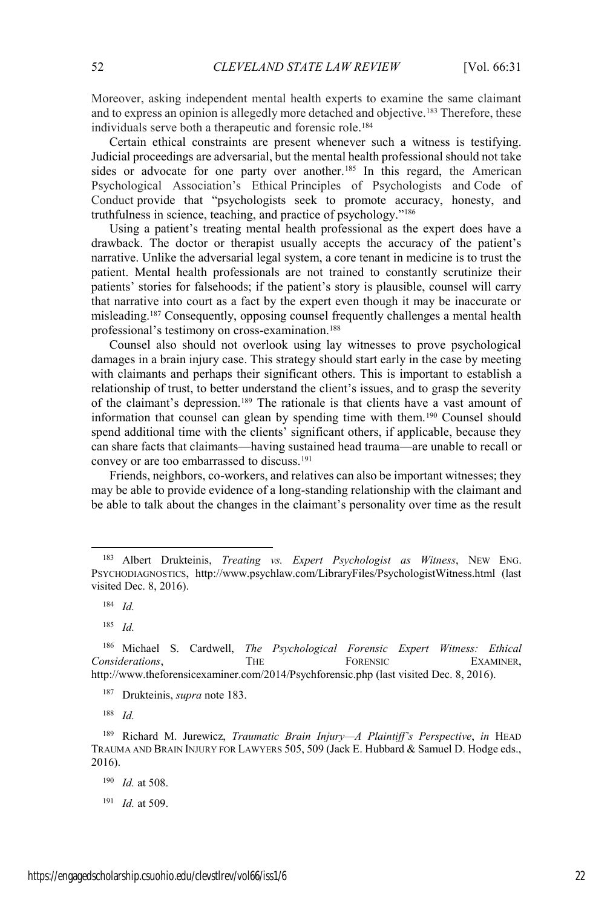Moreover, asking independent mental health experts to examine the same claimant and to express an opinion is allegedly more detached and objective.183 Therefore, these individuals serve both a therapeutic and forensic role. 184

Certain ethical constraints are present whenever such a witness is testifying. Judicial proceedings are adversarial, but the mental health professional should not take sides or advocate for one party over another.<sup>185</sup> In this regard, the American Psychological Association's Ethical Principles of Psychologists and Code of Conduct provide that "psychologists seek to promote accuracy, honesty, and truthfulness in science, teaching, and practice of psychology."<sup>186</sup>

Using a patient's treating mental health professional as the expert does have a drawback. The doctor or therapist usually accepts the accuracy of the patient's narrative. Unlike the adversarial legal system, a core tenant in medicine is to trust the patient. Mental health professionals are not trained to constantly scrutinize their patients' stories for falsehoods; if the patient's story is plausible, counsel will carry that narrative into court as a fact by the expert even though it may be inaccurate or misleading.187 Consequently, opposing counsel frequently challenges a mental health professional's testimony on cross-examination.188

Counsel also should not overlook using lay witnesses to prove psychological damages in a brain injury case. This strategy should start early in the case by meeting with claimants and perhaps their significant others. This is important to establish a relationship of trust, to better understand the client's issues, and to grasp the severity of the claimant's depression.<sup>189</sup> The rationale is that clients have a vast amount of information that counsel can glean by spending time with them.190 Counsel should spend additional time with the clients' significant others, if applicable, because they can share facts that claimants—having sustained head trauma—are unable to recall or convey or are too embarrassed to discuss.<sup>191</sup>

Friends, neighbors, co-workers, and relatives can also be important witnesses; they may be able to provide evidence of a long-standing relationship with the claimant and be able to talk about the changes in the claimant's personality over time as the result

 <sup>183</sup> Albert Drukteinis, *Treating vs. Expert Psychologist as Witness*, NEW ENG. PSYCHODIAGNOSTICS, http://www.psychlaw.com/LibraryFiles/PsychologistWitness.html (last visited Dec. 8, 2016).

<sup>184</sup> *Id.*

<sup>185</sup> *Id.*

<sup>186</sup> Michael S. Cardwell, *The Psychological Forensic Expert Witness: Ethical*  **Considerations, THE FORENSIC EXAMINER,** http://www.theforensicexaminer.com/2014/Psychforensic.php (last visited Dec. 8, 2016).

<sup>187</sup> Drukteinis, *supra* note 183.

<sup>189</sup> Richard M. Jurewicz, *Traumatic Brain Injury—A Plaintiff's Perspective*, *in* HEAD TRAUMA AND BRAIN INJURY FOR LAWYERS 505, 509 (Jack E. Hubbard & Samuel D. Hodge eds., 2016).

<sup>190</sup> *Id.* at 508.

<sup>191</sup> *Id.* at 509.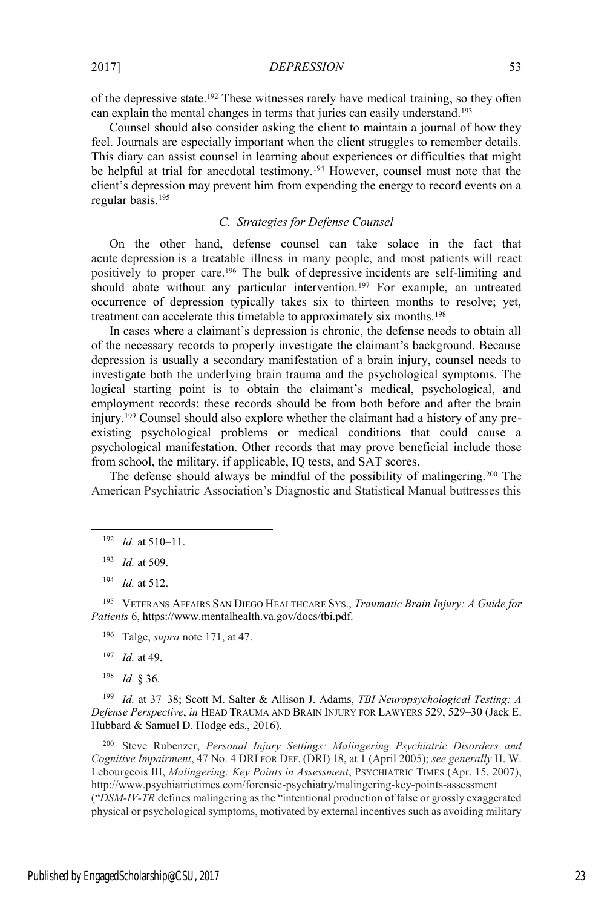of the depressive state.192 These witnesses rarely have medical training, so they often can explain the mental changes in terms that juries can easily understand.193

Counsel should also consider asking the client to maintain a journal of how they feel. Journals are especially important when the client struggles to remember details. This diary can assist counsel in learning about experiences or difficulties that might be helpful at trial for anecdotal testimony.<sup>194</sup> However, counsel must note that the client's depression may prevent him from expending the energy to record events on a regular basis.195

# *C. Strategies for Defense Counsel*

On the other hand, defense counsel can take solace in the fact that acute depression is a treatable illness in many people, and most patients will react positively to proper care.196 The bulk of depressive incidents are self-limiting and should abate without any particular intervention.<sup>197</sup> For example, an untreated occurrence of depression typically takes six to thirteen months to resolve; yet, treatment can accelerate this timetable to approximately six months.198

In cases where a claimant's depression is chronic, the defense needs to obtain all of the necessary records to properly investigate the claimant's background. Because depression is usually a secondary manifestation of a brain injury, counsel needs to investigate both the underlying brain trauma and the psychological symptoms. The logical starting point is to obtain the claimant's medical, psychological, and employment records; these records should be from both before and after the brain injury.199 Counsel should also explore whether the claimant had a history of any preexisting psychological problems or medical conditions that could cause a psychological manifestation. Other records that may prove beneficial include those from school, the military, if applicable, IQ tests, and SAT scores.

The defense should always be mindful of the possibility of malingering.<sup>200</sup> The American Psychiatric Association's Diagnostic and Statistical Manual buttresses this

<sup>195</sup> VETERANS AFFAIRS SAN DIEGO HEALTHCARE SYS., *Traumatic Brain Injury: A Guide for Patients* 6, https://www.mentalhealth.va.gov/docs/tbi.pdf.

- <sup>196</sup> Talge, *supra* note 171, at 47.
- <sup>197</sup> *Id.* at 49.
- <sup>198</sup> *Id.* § 36.

<sup>199</sup> *Id.* at 37–38; Scott M. Salter & Allison J. Adams, *TBI Neuropsychological Testing: A Defense Perspective*, *in* HEAD TRAUMA AND BRAIN INJURY FOR LAWYERS 529, 529–30 (Jack E. Hubbard & Samuel D. Hodge eds., 2016).

<sup>200</sup> Steve Rubenzer, *Personal Injury Settings: Malingering Psychiatric Disorders and Cognitive Impairment*, 47 No. 4 DRI FOR DEF. (DRI) 18, at 1 (April 2005); *see generally* H. W. Lebourgeois III, *Malingering: Key Points in Assessment*, PSYCHIATRIC TIMES (Apr. 15, 2007), http://www.psychiatrictimes.com/forensic-psychiatry/malingering-key-points-assessment ("*DSM-IV-TR* defines malingering as the "intentional production of false or grossly exaggerated physical or psychological symptoms, motivated by external incentives such as avoiding military

 <sup>192</sup> *Id.* at 510–11.

<sup>193</sup> *Id.* at 509.

<sup>194</sup> *Id.* at 512.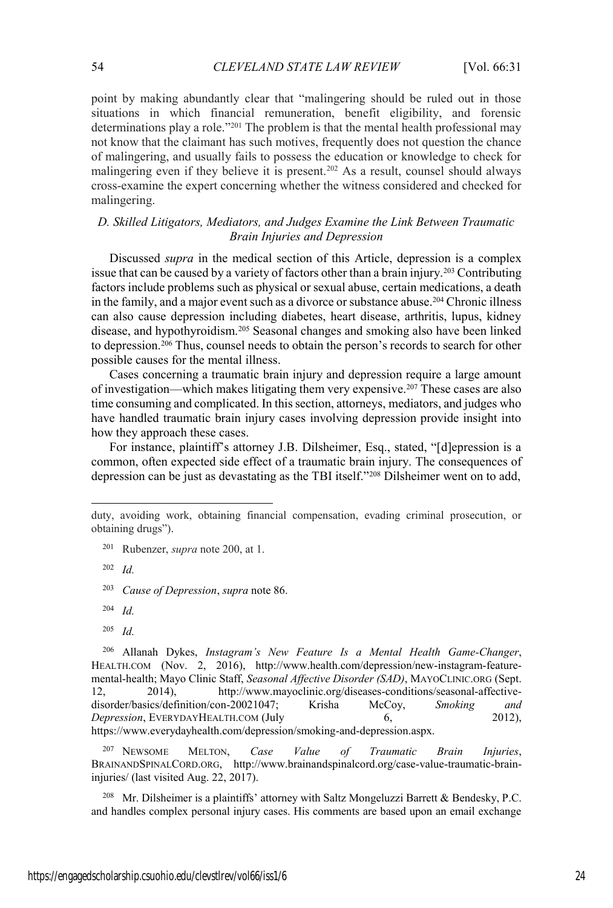point by making abundantly clear that "malingering should be ruled out in those situations in which financial remuneration, benefit eligibility, and forensic determinations play a role."<sup>201</sup> The problem is that the mental health professional may not know that the claimant has such motives, frequently does not question the chance of malingering, and usually fails to possess the education or knowledge to check for malingering even if they believe it is present.<sup>202</sup> As a result, counsel should always cross-examine the expert concerning whether the witness considered and checked for malingering.

# *D. Skilled Litigators, Mediators, and Judges Examine the Link Between Traumatic Brain Injuries and Depression*

Discussed *supra* in the medical section of this Article, depression is a complex issue that can be caused by a variety of factors other than a brain injury.203 Contributing factors include problems such as physical or sexual abuse, certain medications, a death in the family, and a major event such as a divorce or substance abuse.<sup>204</sup> Chronic illness can also cause depression including diabetes, heart disease, arthritis, lupus, kidney disease, and hypothyroidism.205 Seasonal changes and smoking also have been linked to depression.206 Thus, counsel needs to obtain the person's records to search for other possible causes for the mental illness.

Cases concerning a traumatic brain injury and depression require a large amount of investigation—which makes litigating them very expensive.207 These cases are also time consuming and complicated. In this section, attorneys, mediators, and judges who have handled traumatic brain injury cases involving depression provide insight into how they approach these cases.

For instance, plaintiff's attorney J.B. Dilsheimer, Esq., stated, "[d]epression is a common, often expected side effect of a traumatic brain injury. The consequences of depression can be just as devastating as the TBI itself."<sup>208</sup> Dilsheimer went on to add,

 $\overline{\phantom{a}}$ 

<sup>206</sup> Allanah Dykes, *Instagram's New Feature Is a Mental Health Game-Changer*, HEALTH.COM (Nov. 2, 2016), http://www.health.com/depression/new-instagram-featuremental-health; Mayo Clinic Staff, *Seasonal Affective Disorder (SAD)*, MAYOCLINIC.ORG (Sept. 12, 2014), http://www.mayoclinic.org/diseases-conditions/seasonal-affectivedisorder/basics/definition/con-20021047; Krisha McCoy, *Smoking and Depression*, EVERYDAYHEALTH.COM (July 6, 2012), https://www.everydayhealth.com/depression/smoking-and-depression.aspx.

<sup>207</sup> NEWSOME MELTON, *Case Value of Traumatic Brain Injuries*, BRAINANDSPINALCORD.ORG, http://www.brainandspinalcord.org/case-value-traumatic-braininjuries/ (last visited Aug. 22, 2017).

<sup>208</sup> Mr. Dilsheimer is a plaintiffs' attorney with Saltz Mongeluzzi Barrett & Bendesky, P.C. and handles complex personal injury cases. His comments are based upon an email exchange

duty, avoiding work, obtaining financial compensation, evading criminal prosecution, or obtaining drugs").

<sup>201</sup> Rubenzer, *supra* note 200, at 1.

<sup>202</sup> *Id.*

<sup>203</sup> *Cause of Depression*, *supra* note 86.

<sup>204</sup> *Id.*

<sup>205</sup> *Id.*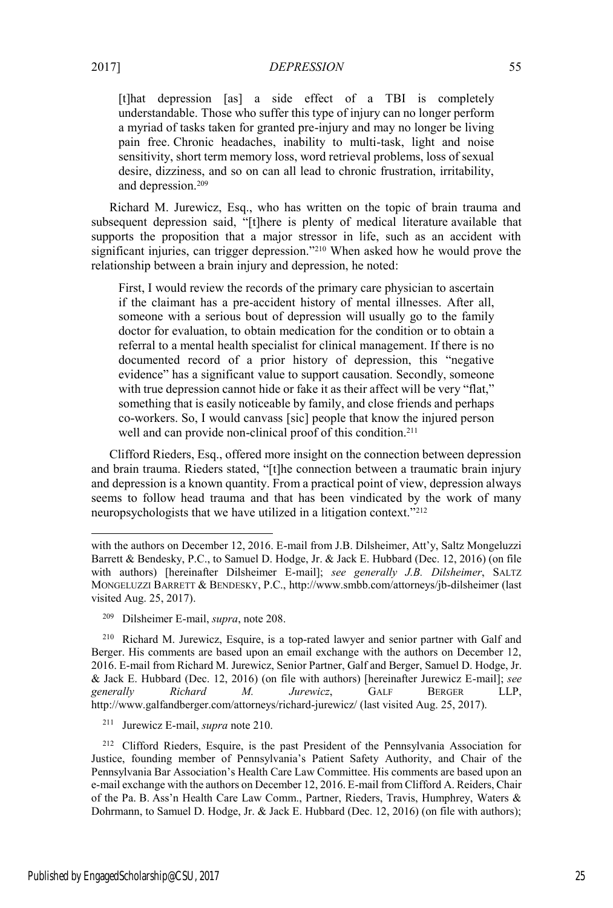[t]hat depression [as] a side effect of a TBI is completely understandable. Those who suffer this type of injury can no longer perform a myriad of tasks taken for granted pre-injury and may no longer be living pain free. Chronic headaches, inability to multi-task, light and noise sensitivity, short term memory loss, word retrieval problems, loss of sexual desire, dizziness, and so on can all lead to chronic frustration, irritability, and depression.209

Richard M. Jurewicz, Esq., who has written on the topic of brain trauma and subsequent depression said, "[t]here is plenty of medical literature available that supports the proposition that a major stressor in life, such as an accident with significant injuries, can trigger depression."<sup>210</sup> When asked how he would prove the relationship between a brain injury and depression, he noted:

First, I would review the records of the primary care physician to ascertain if the claimant has a pre-accident history of mental illnesses. After all, someone with a serious bout of depression will usually go to the family doctor for evaluation, to obtain medication for the condition or to obtain a referral to a mental health specialist for clinical management. If there is no documented record of a prior history of depression, this "negative evidence" has a significant value to support causation. Secondly, someone with true depression cannot hide or fake it as their affect will be very "flat," something that is easily noticeable by family, and close friends and perhaps co-workers. So, I would canvass [sic] people that know the injured person well and can provide non-clinical proof of this condition.<sup>211</sup>

Clifford Rieders, Esq., offered more insight on the connection between depression and brain trauma. Rieders stated, "[t]he connection between a traumatic brain injury and depression is a known quantity. From a practical point of view, depression always seems to follow head trauma and that has been vindicated by the work of many neuropsychologists that we have utilized in a litigation context."<sup>212</sup>

<sup>210</sup> Richard M. Jurewicz, Esquire, is a top-rated lawyer and senior partner with Galf and Berger. His comments are based upon an email exchange with the authors on December 12, 2016. E-mail from Richard M. Jurewicz, Senior Partner, Galf and Berger, Samuel D. Hodge, Jr. & Jack E. Hubbard (Dec. 12, 2016) (on file with authors) [hereinafter Jurewicz E-mail]; *see generally Richard M. Jurewicz*, GALF BERGER LLP, http://www.galfandberger.com/attorneys/richard-jurewicz/ (last visited Aug. 25, 2017).

<sup>211</sup> Jurewicz E-mail, *supra* note 210.

<sup>212</sup> Clifford Rieders, Esquire, is the past President of the Pennsylvania Association for Justice, founding member of Pennsylvania's Patient Safety Authority, and Chair of the Pennsylvania Bar Association's Health Care Law Committee. His comments are based upon an e-mail exchange with the authors on December 12, 2016. E-mail from Clifford A. Reiders, Chair of the Pa. B. Ass'n Health Care Law Comm., Partner, Rieders, Travis, Humphrey, Waters & Dohrmann, to Samuel D. Hodge, Jr. & Jack E. Hubbard (Dec. 12, 2016) (on file with authors);

 $\overline{\phantom{a}}$ 

with the authors on December 12, 2016. E-mail from J.B. Dilsheimer, Att'y, Saltz Mongeluzzi Barrett & Bendesky, P.C., to Samuel D. Hodge, Jr. & Jack E. Hubbard (Dec. 12, 2016) (on file with authors) [hereinafter Dilsheimer E-mail]; *see generally J.B. Dilsheimer*, SALTZ MONGELUZZI BARRETT & BENDESKY, P.C., http://www.smbb.com/attorneys/jb-dilsheimer (last visited Aug. 25, 2017).

<sup>209</sup> Dilsheimer E-mail, *supra*, note 208.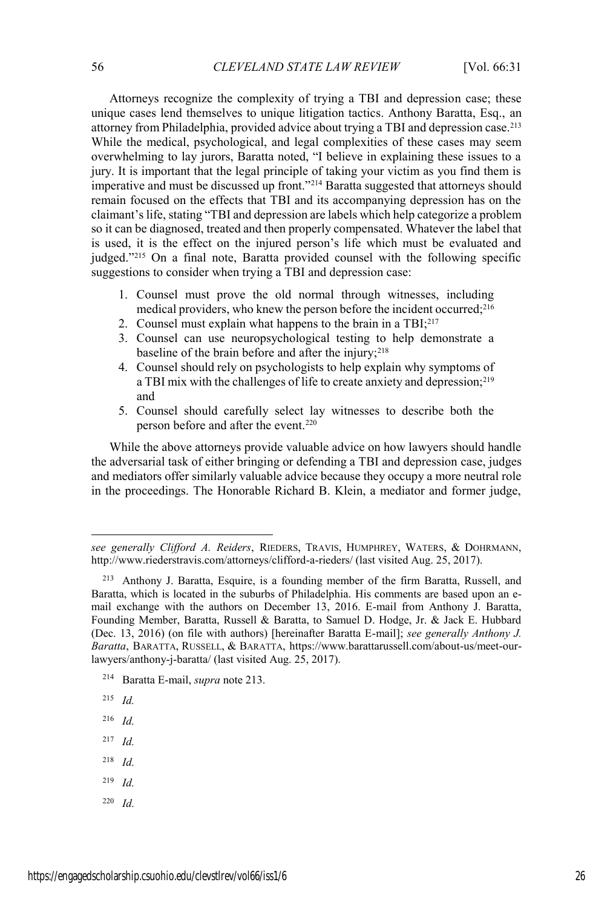Attorneys recognize the complexity of trying a TBI and depression case; these unique cases lend themselves to unique litigation tactics. Anthony Baratta, Esq., an attorney from Philadelphia, provided advice about trying a TBI and depression case.213 While the medical, psychological, and legal complexities of these cases may seem overwhelming to lay jurors, Baratta noted, "I believe in explaining these issues to a jury. It is important that the legal principle of taking your victim as you find them is imperative and must be discussed up front."<sup>214</sup> Baratta suggested that attorneys should remain focused on the effects that TBI and its accompanying depression has on the claimant's life, stating "TBI and depression are labels which help categorize a problem so it can be diagnosed, treated and then properly compensated. Whatever the label that is used, it is the effect on the injured person's life which must be evaluated and judged."<sup>215</sup> On a final note, Baratta provided counsel with the following specific suggestions to consider when trying a TBI and depression case:

- 1. Counsel must prove the old normal through witnesses, including medical providers, who knew the person before the incident occurred;216
- 2. Counsel must explain what happens to the brain in a  $TBI;^{217}$
- 3. Counsel can use neuropsychological testing to help demonstrate a baseline of the brain before and after the injury; $218$
- 4. Counsel should rely on psychologists to help explain why symptoms of a TBI mix with the challenges of life to create anxiety and depression;<sup>219</sup> and
- 5. Counsel should carefully select lay witnesses to describe both the person before and after the event.220

While the above attorneys provide valuable advice on how lawyers should handle the adversarial task of either bringing or defending a TBI and depression case, judges and mediators offer similarly valuable advice because they occupy a more neutral role in the proceedings. The Honorable Richard B. Klein, a mediator and former judge,

- <sup>214</sup> Baratta E-mail, *supra* note 213.
- <sup>215</sup> *Id.*

 $\overline{\phantom{a}}$ 

- <sup>216</sup> *Id.*
- <sup>217</sup> *Id.*
- <sup>218</sup> *Id.*
- <sup>219</sup> *Id.*
- <sup>220</sup> *Id.*

see generally Clifford A. Reiders, RIEDERS, TRAVIS, HUMPHREY, WATERS, & DOHRMANN, http://www.riederstravis.com/attorneys/clifford-a-rieders/ (last visited Aug. 25, 2017).

<sup>213</sup> Anthony J. Baratta, Esquire, is a founding member of the firm Baratta, Russell, and Baratta, which is located in the suburbs of Philadelphia. His comments are based upon an email exchange with the authors on December 13, 2016. E-mail from Anthony J. Baratta, Founding Member, Baratta, Russell & Baratta, to Samuel D. Hodge, Jr. & Jack E. Hubbard (Dec. 13, 2016) (on file with authors) [hereinafter Baratta E-mail]; *see generally Anthony J. Baratta*, BARATTA, RUSSELL,&BARATTA, https://www.barattarussell.com/about-us/meet-ourlawyers/anthony-j-baratta/ (last visited Aug. 25, 2017).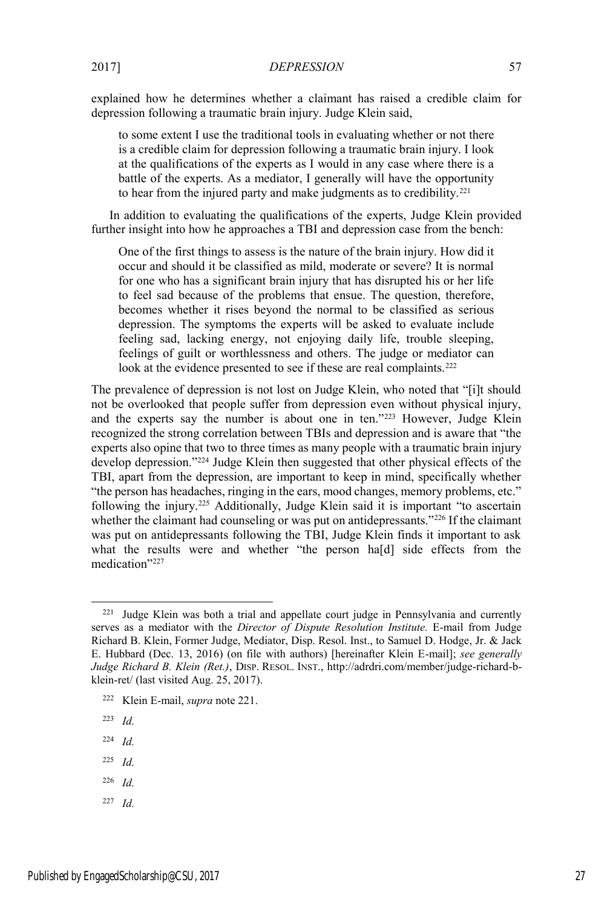explained how he determines whether a claimant has raised a credible claim for depression following a traumatic brain injury. Judge Klein said,

to some extent I use the traditional tools in evaluating whether or not there is a credible claim for depression following a traumatic brain injury. I look at the qualifications of the experts as I would in any case where there is a battle of the experts. As a mediator, I generally will have the opportunity to hear from the injured party and make judgments as to credibility.221

In addition to evaluating the qualifications of the experts, Judge Klein provided further insight into how he approaches a TBI and depression case from the bench:

One of the first things to assess is the nature of the brain injury. How did it occur and should it be classified as mild, moderate or severe? It is normal for one who has a significant brain injury that has disrupted his or her life to feel sad because of the problems that ensue. The question, therefore, becomes whether it rises beyond the normal to be classified as serious depression. The symptoms the experts will be asked to evaluate include feeling sad, lacking energy, not enjoying daily life, trouble sleeping, feelings of guilt or worthlessness and others. The judge or mediator can look at the evidence presented to see if these are real complaints.<sup>222</sup>

The prevalence of depression is not lost on Judge Klein, who noted that "[i]t should not be overlooked that people suffer from depression even without physical injury, and the experts say the number is about one in ten."<sup>223</sup> However, Judge Klein recognized the strong correlation between TBIs and depression and is aware that "the experts also opine that two to three times as many people with a traumatic brain injury develop depression."<sup>224</sup> Judge Klein then suggested that other physical effects of the TBI, apart from the depression, are important to keep in mind, specifically whether "the person has headaches, ringing in the ears, mood changes, memory problems, etc." following the injury.225 Additionally, Judge Klein said it is important "to ascertain whether the claimant had counseling or was put on antidepressants."<sup>226</sup> If the claimant was put on antidepressants following the TBI, Judge Klein finds it important to ask what the results were and whether "the person ha[d] side effects from the medication"<sup>227</sup>

- <sup>225</sup> *Id.*
- <sup>226</sup> *Id.*
- <sup>227</sup> *Id.*

<sup>&</sup>lt;sup>221</sup> Judge Klein was both a trial and appellate court judge in Pennsylvania and currently serves as a mediator with the *Director of Dispute Resolution Institute.* E-mail from Judge Richard B. Klein, Former Judge, Mediator, Disp. Resol. Inst., to Samuel D. Hodge, Jr. & Jack E. Hubbard (Dec. 13, 2016) (on file with authors) [hereinafter Klein E-mail]; *see generally Judge Richard B. Klein (Ret.)*, DISP. RESOL. INST., http://adrdri.com/member/judge-richard-bklein-ret/ (last visited Aug. 25, 2017).

<sup>222</sup> Klein E-mail, *supra* note 221.

<sup>223</sup> *Id.*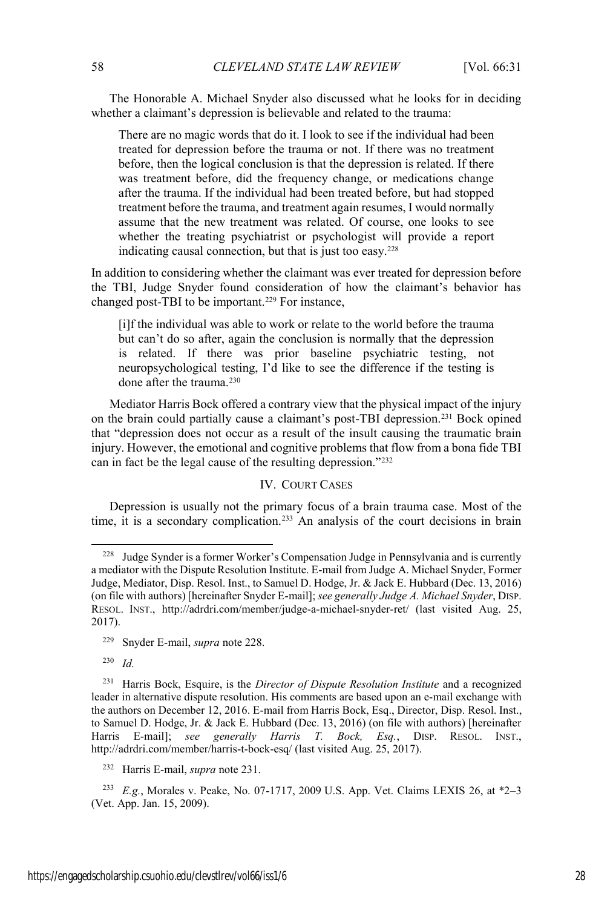The Honorable A. Michael Snyder also discussed what he looks for in deciding whether a claimant's depression is believable and related to the trauma:

There are no magic words that do it. I look to see if the individual had been treated for depression before the trauma or not. If there was no treatment before, then the logical conclusion is that the depression is related. If there was treatment before, did the frequency change, or medications change after the trauma. If the individual had been treated before, but had stopped treatment before the trauma, and treatment again resumes, I would normally assume that the new treatment was related. Of course, one looks to see whether the treating psychiatrist or psychologist will provide a report indicating causal connection, but that is just too easy.228

In addition to considering whether the claimant was ever treated for depression before the TBI, Judge Snyder found consideration of how the claimant's behavior has changed post-TBI to be important.<sup>229</sup> For instance,

[i]f the individual was able to work or relate to the world before the trauma but can't do so after, again the conclusion is normally that the depression is related. If there was prior baseline psychiatric testing, not neuropsychological testing, I'd like to see the difference if the testing is done after the trauma.<sup>230</sup>

Mediator Harris Bock offered a contrary view that the physical impact of the injury on the brain could partially cause a claimant's post-TBI depression.231 Bock opined that "depression does not occur as a result of the insult causing the traumatic brain injury. However, the emotional and cognitive problems that flow from a bona fide TBI can in fact be the legal cause of the resulting depression."<sup>232</sup>

# IV. COURT CASES

Depression is usually not the primary focus of a brain trauma case. Most of the time, it is a secondary complication.<sup>233</sup> An analysis of the court decisions in brain

<sup>230</sup> *Id.*

<sup>232</sup> Harris E-mail, *supra* note 231.

<sup>233</sup> *E.g.*, Morales v. Peake, No. 07-1717, 2009 U.S. App. Vet. Claims LEXIS 26, at \*2–3 (Vet. App. Jan. 15, 2009).

 <sup>228</sup> Judge Synder is a former Worker's Compensation Judge in Pennsylvania and is currently a mediator with the Dispute Resolution Institute. E-mail from Judge A. Michael Snyder, Former Judge, Mediator, Disp. Resol. Inst., to Samuel D. Hodge, Jr. & Jack E. Hubbard (Dec. 13, 2016) (on file with authors) [hereinafter Snyder E-mail]; *see generally Judge A. Michael Snyder*, DISP. RESOL. INST., http://adrdri.com/member/judge-a-michael-snyder-ret/ (last visited Aug. 25, 2017).

<sup>229</sup> Snyder E-mail, *supra* note 228.

<sup>231</sup> Harris Bock, Esquire, is the *Director of Dispute Resolution Institute* and a recognized leader in alternative dispute resolution. His comments are based upon an e-mail exchange with the authors on December 12, 2016. E-mail from Harris Bock, Esq., Director, Disp. Resol. Inst., to Samuel D. Hodge, Jr. & Jack E. Hubbard (Dec. 13, 2016) (on file with authors) [hereinafter Harris E-mail]; *see generally Harris T. Bock, Esq.*, DISP. RESOL. INST., http://adrdri.com/member/harris-t-bock-esq/ (last visited Aug. 25, 2017).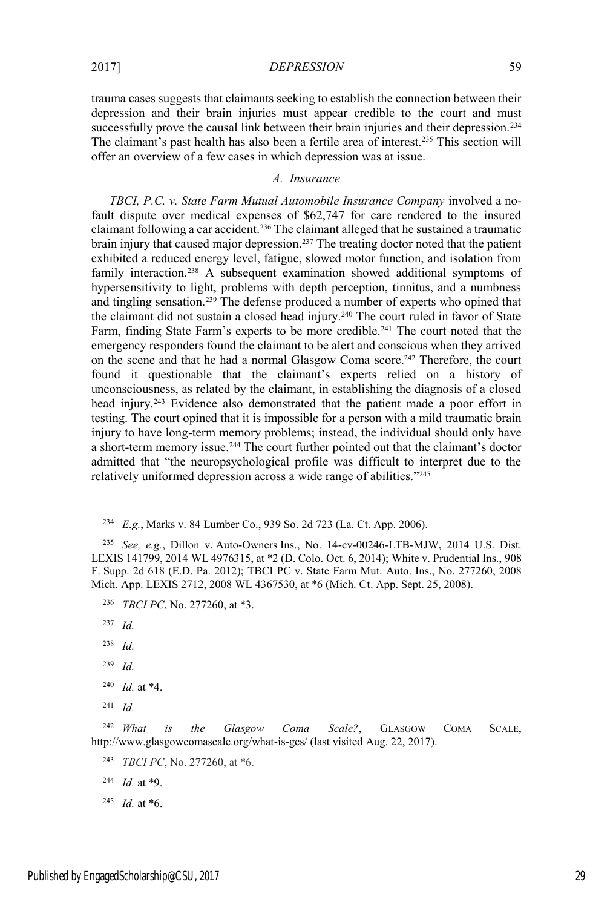#### *A. Insurance*

offer an overview of a few cases in which depression was at issue.

*TBCI, P.C. v. State Farm Mutual Automobile Insurance Company* involved a nofault dispute over medical expenses of \$62,747 for care rendered to the insured claimant following a car accident.<sup>236</sup> The claimant alleged that he sustained a traumatic brain injury that caused major depression.237 The treating doctor noted that the patient exhibited a reduced energy level, fatigue, slowed motor function, and isolation from family interaction.<sup>238</sup> A subsequent examination showed additional symptoms of hypersensitivity to light, problems with depth perception, tinnitus, and a numbness and tingling sensation.239 The defense produced a number of experts who opined that the claimant did not sustain a closed head injury.<sup>240</sup> The court ruled in favor of State Farm, finding State Farm's experts to be more credible.<sup>241</sup> The court noted that the emergency responders found the claimant to be alert and conscious when they arrived on the scene and that he had a normal Glasgow Coma score.242 Therefore, the court found it questionable that the claimant's experts relied on a history of unconsciousness, as related by the claimant, in establishing the diagnosis of a closed head injury.<sup>243</sup> Evidence also demonstrated that the patient made a poor effort in testing. The court opined that it is impossible for a person with a mild traumatic brain injury to have long-term memory problems; instead, the individual should only have a short-term memory issue.<sup>244</sup> The court further pointed out that the claimant's doctor admitted that "the neuropsychological profile was difficult to interpret due to the relatively uniformed depression across a wide range of abilities."<sup>245</sup>

 <sup>234</sup> *E.g.*, Marks v. 84 Lumber Co., 939 So. 2d 723 (La. Ct. App. 2006).

<sup>235</sup> *See, e.g.*, Dillon v. Auto-Owners Ins., No. 14-cv-00246-LTB-MJW, 2014 U.S. Dist. LEXIS 141799, 2014 WL 4976315, at \*2 (D. Colo. Oct. 6, 2014); White v. Prudential Ins., 908 F. Supp. 2d 618 (E.D. Pa. 2012); TBCI PC v. State Farm Mut. Auto. Ins., No. 277260, 2008 Mich. App. LEXIS 2712, 2008 WL 4367530, at \*6 (Mich. Ct. App. Sept. 25, 2008).

<sup>236</sup> *TBCI PC*, No. 277260, at \*3.

<sup>237</sup> *Id.*

<sup>238</sup> *Id.*

<sup>239</sup> *Id.*

<sup>240</sup> *Id.* at \*4.

<sup>241</sup> *Id.*

<sup>242</sup> *What is the Glasgow Coma Scale?*, GLASGOW COMA SCALE, http://www.glasgowcomascale.org/what-is-gcs/ (last visited Aug. 22, 2017).

<sup>243</sup> *TBCI PC*, No. 277260, at \*6.

<sup>244</sup> *Id.* at \*9.

<sup>245</sup> *Id.* at \*6.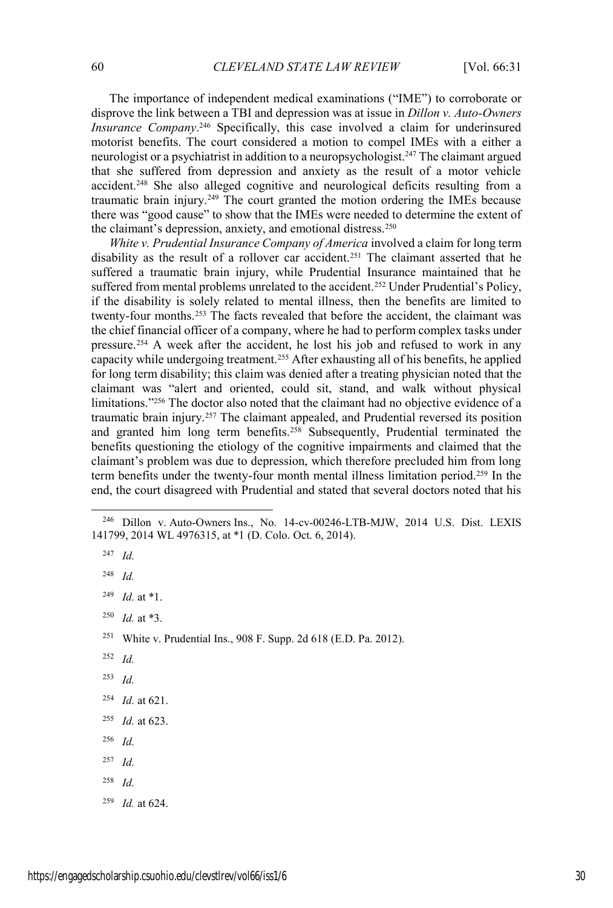The importance of independent medical examinations ("IME") to corroborate or disprove the link between a TBI and depression was at issue in *Dillon v. Auto-Owners Insurance Company*. <sup>246</sup> Specifically, this case involved a claim for underinsured motorist benefits. The court considered a motion to compel IMEs with a either a neurologist or a psychiatrist in addition to a neuropsychologist.247 The claimant argued that she suffered from depression and anxiety as the result of a motor vehicle accident.248 She also alleged cognitive and neurological deficits resulting from a traumatic brain injury.249 The court granted the motion ordering the IMEs because there was "good cause" to show that the IMEs were needed to determine the extent of the claimant's depression, anxiety, and emotional distress.<sup>250</sup>

*White v. Prudential Insurance Company of America* involved a claim for long term disability as the result of a rollover car accident.<sup>251</sup> The claimant asserted that he suffered a traumatic brain injury, while Prudential Insurance maintained that he suffered from mental problems unrelated to the accident.<sup>252</sup> Under Prudential's Policy, if the disability is solely related to mental illness, then the benefits are limited to twenty-four months.253 The facts revealed that before the accident, the claimant was the chief financial officer of a company, where he had to perform complex tasks under pressure.254 A week after the accident, he lost his job and refused to work in any capacity while undergoing treatment.<sup>255</sup> After exhausting all of his benefits, he applied for long term disability; this claim was denied after a treating physician noted that the claimant was "alert and oriented, could sit, stand, and walk without physical limitations."<sup>256</sup> The doctor also noted that the claimant had no objective evidence of a traumatic brain injury.257 The claimant appealed, and Prudential reversed its position and granted him long term benefits.258 Subsequently, Prudential terminated the benefits questioning the etiology of the cognitive impairments and claimed that the claimant's problem was due to depression, which therefore precluded him from long term benefits under the twenty-four month mental illness limitation period.259 In the end, the court disagreed with Prudential and stated that several doctors noted that his

- <sup>252</sup> *Id.*
- <sup>253</sup> *Id.*
- <sup>254</sup> *Id.* at 621.
- <sup>255</sup> *Id.* at 623.
- <sup>256</sup> *Id.*
- <sup>257</sup> *Id.*
- <sup>258</sup> *Id.*
- <sup>259</sup> *Id.* at 624.

 <sup>246</sup> Dillon v. Auto-Owners Ins., No. 14-cv-00246-LTB-MJW, 2014 U.S. Dist. LEXIS 141799, 2014 WL 4976315, at \*1 (D. Colo. Oct. 6, 2014).

<sup>247</sup> *Id.*

<sup>249</sup> *Id.* at \*1.

<sup>250</sup> *Id.* at \*3.

<sup>251</sup> White v. Prudential Ins., 908 F. Supp. 2d 618 (E.D. Pa. 2012).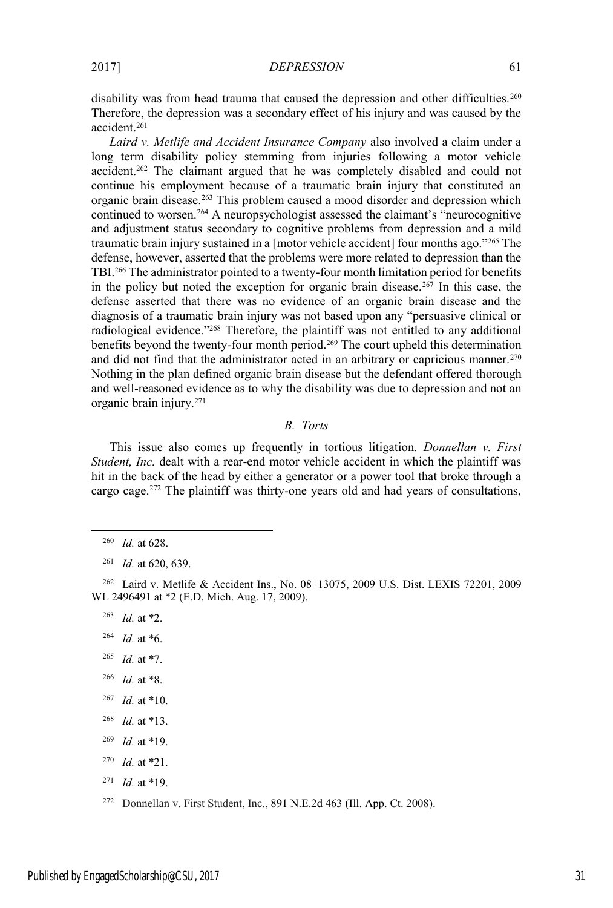*Laird v. Metlife and Accident Insurance Company* also involved a claim under a long term disability policy stemming from injuries following a motor vehicle accident.262 The claimant argued that he was completely disabled and could not continue his employment because of a traumatic brain injury that constituted an organic brain disease.263 This problem caused a mood disorder and depression which continued to worsen.264 A neuropsychologist assessed the claimant's "neurocognitive and adjustment status secondary to cognitive problems from depression and a mild traumatic brain injury sustained in a [motor vehicle accident] four months ago."<sup>265</sup> The defense, however, asserted that the problems were more related to depression than the TBI.266 The administrator pointed to a twenty-four month limitation period for benefits in the policy but noted the exception for organic brain disease.<sup>267</sup> In this case, the defense asserted that there was no evidence of an organic brain disease and the diagnosis of a traumatic brain injury was not based upon any "persuasive clinical or radiological evidence."<sup>268</sup> Therefore, the plaintiff was not entitled to any additional benefits beyond the twenty-four month period.269 The court upheld this determination and did not find that the administrator acted in an arbitrary or capricious manner.<sup>270</sup> Nothing in the plan defined organic brain disease but the defendant offered thorough and well-reasoned evidence as to why the disability was due to depression and not an organic brain injury.271

# *B. Torts*

This issue also comes up frequently in tortious litigation. *Donnellan v. First Student, Inc.* dealt with a rear-end motor vehicle accident in which the plaintiff was hit in the back of the head by either a generator or a power tool that broke through a cargo cage.272 The plaintiff was thirty-one years old and had years of consultations,

<sup>262</sup> Laird v. Metlife & Accident Ins., No. 08–13075, 2009 U.S. Dist. LEXIS 72201, 2009 WL 2496491 at \*2 (E.D. Mich. Aug. 17, 2009).

<sup>263</sup> *Id.* at \*2.

- <sup>264</sup> *Id.* at \*6.
- <sup>265</sup> *Id.* at \*7.
- <sup>266</sup> *Id.* at \*8.
- <sup>267</sup> *Id.* at \*10.
- <sup>268</sup> *Id.* at \*13.
- <sup>269</sup> *Id.* at \*19.
- <sup>270</sup> *Id.* at \*21.
- <sup>271</sup> *Id.* at \*19.
- <sup>272</sup> Donnellan v. First Student, Inc., 891 N.E.2d 463 (Ill. App. Ct. 2008).

 <sup>260</sup> *Id.* at 628.

<sup>261</sup> *Id.* at 620, 639.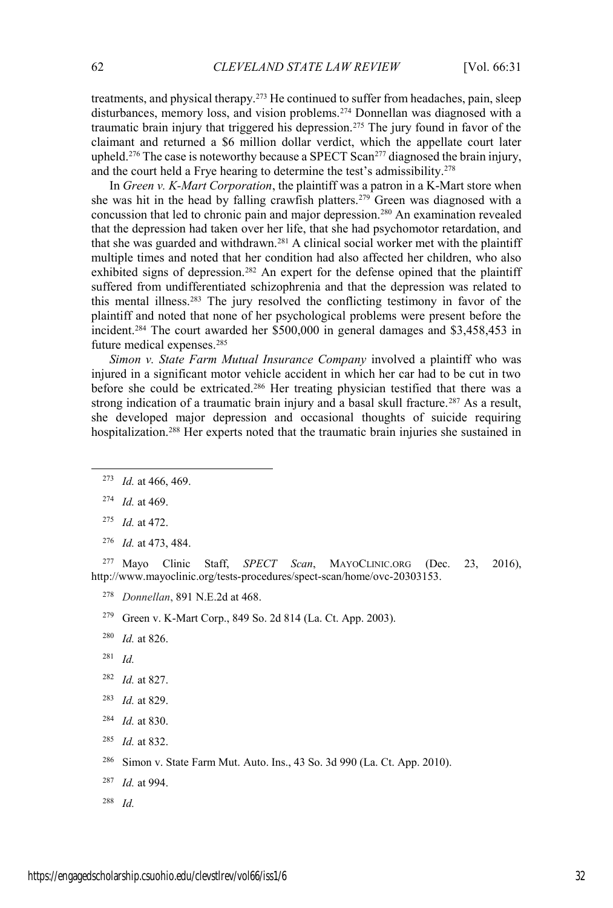treatments, and physical therapy.273 He continued to suffer from headaches, pain, sleep disturbances, memory loss, and vision problems.274 Donnellan was diagnosed with a traumatic brain injury that triggered his depression.275 The jury found in favor of the claimant and returned a \$6 million dollar verdict, which the appellate court later upheld.<sup>276</sup> The case is noteworthy because a SPECT Scan<sup>277</sup> diagnosed the brain injury, and the court held a Frye hearing to determine the test's admissibility.<sup>278</sup>

In *Green v. K-Mart Corporation*, the plaintiff was a patron in a K-Mart store when she was hit in the head by falling crawfish platters.<sup>279</sup> Green was diagnosed with a concussion that led to chronic pain and major depression.280 An examination revealed that the depression had taken over her life, that she had psychomotor retardation, and that she was guarded and withdrawn.281 A clinical social worker met with the plaintiff multiple times and noted that her condition had also affected her children, who also exhibited signs of depression.<sup>282</sup> An expert for the defense opined that the plaintiff suffered from undifferentiated schizophrenia and that the depression was related to this mental illness.283 The jury resolved the conflicting testimony in favor of the plaintiff and noted that none of her psychological problems were present before the incident.<sup>284</sup> The court awarded her \$500,000 in general damages and \$3,458,453 in future medical expenses.285

*Simon v. State Farm Mutual Insurance Company* involved a plaintiff who was injured in a significant motor vehicle accident in which her car had to be cut in two before she could be extricated.286 Her treating physician testified that there was a strong indication of a traumatic brain injury and a basal skull fracture.<sup>287</sup> As a result, she developed major depression and occasional thoughts of suicide requiring hospitalization.288 Her experts noted that the traumatic brain injuries she sustained in

<sup>276</sup> *Id.* at 473, 484.

<sup>277</sup> Mayo Clinic Staff, *SPECT Scan*, MAYOCLINIC.ORG (Dec. 23, 2016), http://www.mayoclinic.org/tests-procedures/spect-scan/home/ovc-20303153.

- <sup>278</sup> *Donnellan*, 891 N.E.2d at 468.
- <sup>279</sup> Green v. K-Mart Corp., 849 So. 2d 814 (La. Ct. App. 2003).
- <sup>280</sup> *Id.* at 826.
- <sup>281</sup> *Id.*
- <sup>282</sup> *Id.* at 827.
- <sup>283</sup> *Id.* at 829.
- <sup>284</sup> *Id.* at 830.
- <sup>285</sup> *Id.* at 832.
- <sup>286</sup> Simon v. State Farm Mut. Auto. Ins., 43 So. 3d 990 (La. Ct. App. 2010).
- <sup>287</sup> *Id.* at 994.
- <sup>288</sup> *Id.*

 <sup>273</sup> *Id.* at 466, 469.

<sup>274</sup> *Id.* at 469.

<sup>275</sup> *Id.* at 472.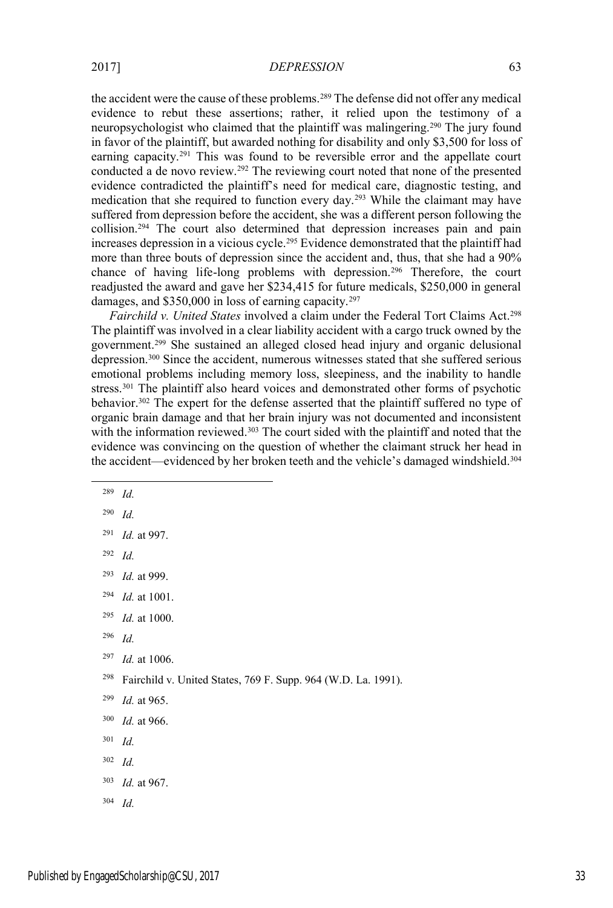the accident were the cause of these problems.289 The defense did not offer any medical evidence to rebut these assertions; rather, it relied upon the testimony of a neuropsychologist who claimed that the plaintiff was malingering.290 The jury found in favor of the plaintiff, but awarded nothing for disability and only \$3,500 for loss of earning capacity.291 This was found to be reversible error and the appellate court conducted a de novo review.292 The reviewing court noted that none of the presented evidence contradicted the plaintiff's need for medical care, diagnostic testing, and medication that she required to function every day.293 While the claimant may have suffered from depression before the accident, she was a different person following the collision.294 The court also determined that depression increases pain and pain increases depression in a vicious cycle.<sup>295</sup> Evidence demonstrated that the plaintiff had more than three bouts of depression since the accident and, thus, that she had a 90% chance of having life-long problems with depression.296 Therefore, the court readjusted the award and gave her \$234,415 for future medicals, \$250,000 in general damages, and \$350,000 in loss of earning capacity.<sup>297</sup>

*Fairchild v. United States* involved a claim under the Federal Tort Claims Act.298 The plaintiff was involved in a clear liability accident with a cargo truck owned by the government.299 She sustained an alleged closed head injury and organic delusional depression.300 Since the accident, numerous witnesses stated that she suffered serious emotional problems including memory loss, sleepiness, and the inability to handle stress.<sup>301</sup> The plaintiff also heard voices and demonstrated other forms of psychotic behavior.<sup>302</sup> The expert for the defense asserted that the plaintiff suffered no type of organic brain damage and that her brain injury was not documented and inconsistent with the information reviewed.<sup>303</sup> The court sided with the plaintiff and noted that the evidence was convincing on the question of whether the claimant struck her head in the accident—evidenced by her broken teeth and the vehicle's damaged windshield.<sup>304</sup>

- 289 *Id.*
- <sup>290</sup> *Id.*
- <sup>291</sup> *Id.* at 997.
- <sup>292</sup> *Id.*
- <sup>293</sup> *Id.* at 999.
- <sup>294</sup> *Id.* at 1001.
- <sup>295</sup> *Id.* at 1000.
- <sup>296</sup> *Id.*
- <sup>297</sup> *Id.* at 1006.
- <sup>298</sup> Fairchild v. United States, 769 F. Supp. 964 (W.D. La. 1991).
- <sup>299</sup> *Id.* at 965.
- <sup>300</sup> *Id.* at 966.
- <sup>301</sup> *Id.*
- <sup>302</sup> *Id.*
- <sup>303</sup> *Id.* at 967.
- <sup>304</sup> *Id.*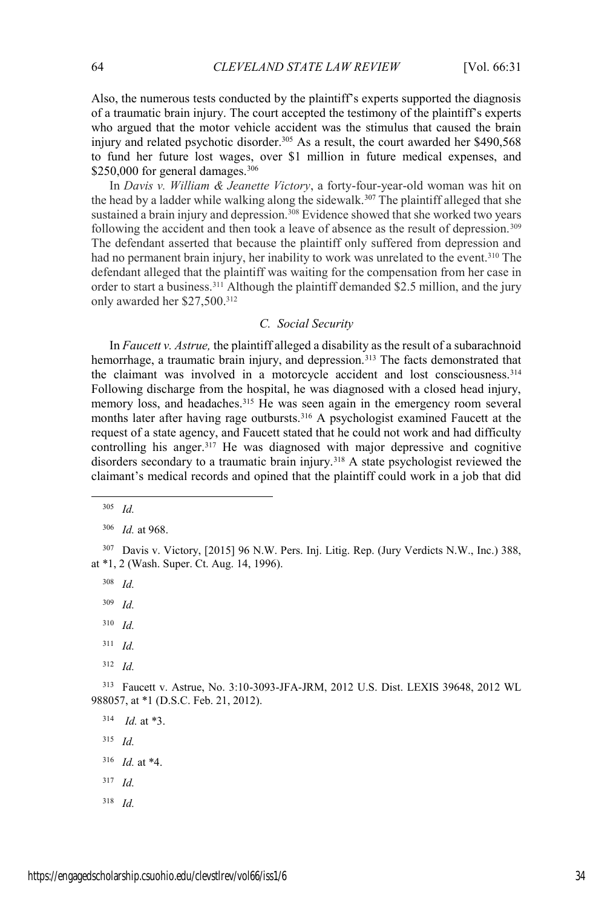Also, the numerous tests conducted by the plaintiff's experts supported the diagnosis of a traumatic brain injury. The court accepted the testimony of the plaintiff's experts who argued that the motor vehicle accident was the stimulus that caused the brain injury and related psychotic disorder.<sup>305</sup> As a result, the court awarded her \$490,568 to fund her future lost wages, over \$1 million in future medical expenses, and  $$250,000$  for general damages.<sup>306</sup>

In *Davis v. William & Jeanette Victory*, a forty-four-year-old woman was hit on the head by a ladder while walking along the sidewalk.<sup>307</sup> The plaintiff alleged that she sustained a brain injury and depression.<sup>308</sup> Evidence showed that she worked two years following the accident and then took a leave of absence as the result of depression.<sup>309</sup> The defendant asserted that because the plaintiff only suffered from depression and had no permanent brain injury, her inability to work was unrelated to the event.<sup>310</sup> The defendant alleged that the plaintiff was waiting for the compensation from her case in order to start a business.<sup>311</sup> Although the plaintiff demanded \$2.5 million, and the jury only awarded her \$27,500.312

# *C. Social Security*

In *Faucett v. Astrue,* the plaintiff alleged a disability as the result of a subarachnoid hemorrhage, a traumatic brain injury, and depression.<sup>313</sup> The facts demonstrated that the claimant was involved in a motorcycle accident and lost consciousness.<sup>314</sup> Following discharge from the hospital, he was diagnosed with a closed head injury, memory loss, and headaches.<sup>315</sup> He was seen again in the emergency room several months later after having rage outbursts.<sup>316</sup> A psychologist examined Faucett at the request of a state agency, and Faucett stated that he could not work and had difficulty controlling his anger.<sup>317</sup> He was diagnosed with major depressive and cognitive disorders secondary to a traumatic brain injury.<sup>318</sup> A state psychologist reviewed the claimant's medical records and opined that the plaintiff could work in a job that did

<sup>308</sup> *Id.*

- <sup>311</sup> *Id.*
- <sup>312</sup> *Id.*

<sup>313</sup> Faucett v. Astrue, No. 3:10-3093-JFA-JRM, 2012 U.S. Dist. LEXIS 39648, 2012 WL 988057, at \*1 (D.S.C. Feb. 21, 2012).

<sup>314</sup> *Id.* at \*3.

- <sup>315</sup> *Id.*
- <sup>316</sup> *Id.* at \*4.
- <sup>317</sup> *Id.*
- <sup>318</sup> *Id.*

 <sup>305</sup> *Id.*

<sup>306</sup> *Id.* at 968.

<sup>307</sup> Davis v. Victory, [2015] 96 N.W. Pers. Inj. Litig. Rep. (Jury Verdicts N.W., Inc.) 388, at \*1, 2 (Wash. Super. Ct. Aug. 14, 1996).

<sup>309</sup> *Id.*

<sup>310</sup> *Id.*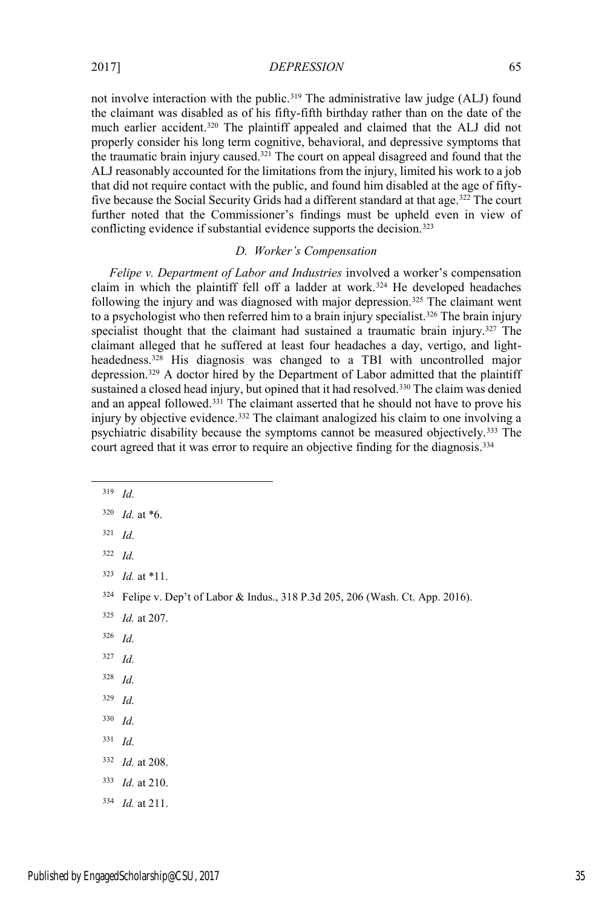not involve interaction with the public.<sup>319</sup> The administrative law judge (ALJ) found the claimant was disabled as of his fifty-fifth birthday rather than on the date of the much earlier accident.320 The plaintiff appealed and claimed that the ALJ did not properly consider his long term cognitive, behavioral, and depressive symptoms that the traumatic brain injury caused.321 The court on appeal disagreed and found that the ALJ reasonably accounted for the limitations from the injury, limited his work to a job that did not require contact with the public, and found him disabled at the age of fiftyfive because the Social Security Grids had a different standard at that age.<sup>322</sup> The court further noted that the Commissioner's findings must be upheld even in view of conflicting evidence if substantial evidence supports the decision.<sup>323</sup>

### *D. Worker's Compensation*

*Felipe v. Department of Labor and Industries* involved a worker's compensation claim in which the plaintiff fell off a ladder at work.<sup>324</sup> He developed headaches following the injury and was diagnosed with major depression.325 The claimant went to a psychologist who then referred him to a brain injury specialist.<sup>326</sup> The brain injury specialist thought that the claimant had sustained a traumatic brain injury.<sup>327</sup> The claimant alleged that he suffered at least four headaches a day, vertigo, and lightheadedness.<sup>328</sup> His diagnosis was changed to a TBI with uncontrolled major depression.329 A doctor hired by the Department of Labor admitted that the plaintiff sustained a closed head injury, but opined that it had resolved.<sup>330</sup> The claim was denied and an appeal followed.331 The claimant asserted that he should not have to prove his injury by objective evidence.332 The claimant analogized his claim to one involving a psychiatric disability because the symptoms cannot be measured objectively.333 The court agreed that it was error to require an objective finding for the diagnosis.<sup>334</sup>

- <sup>321</sup> *Id.*
- <sup>322</sup> *Id.*
- <sup>323</sup> *Id.* at \*11.

- <sup>325</sup> *Id.* at 207.
- <sup>326</sup> *Id.*
- <sup>327</sup> *Id.*
- <sup>328</sup> *Id.*
- <sup>329</sup> *Id.*
- <sup>330</sup> *Id.*
- <sup>331</sup> *Id.*
- <sup>332</sup> *Id.* at 208.
- <sup>333</sup> *Id.* at 210.
- <sup>334</sup> *Id.* at 211.

 $320$  *Id.* at  $*6$ .

<sup>324</sup> Felipe v. Dep't of Labor & Indus., 318 P.3d 205, 206 (Wash. Ct. App. 2016).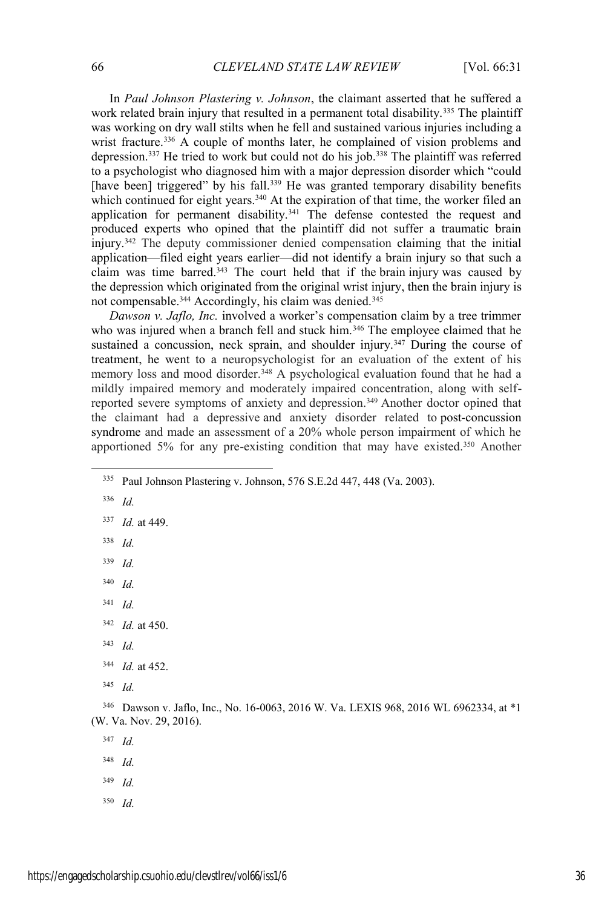In *Paul Johnson Plastering v. Johnson*, the claimant asserted that he suffered a work related brain injury that resulted in a permanent total disability.<sup>335</sup> The plaintiff was working on dry wall stilts when he fell and sustained various injuries including a wrist fracture.<sup>336</sup> A couple of months later, he complained of vision problems and depression.337 He tried to work but could not do his job.338 The plaintiff was referred to a psychologist who diagnosed him with a major depression disorder which "could [have been] triggered" by his fall.<sup>339</sup> He was granted temporary disability benefits which continued for eight years.<sup>340</sup> At the expiration of that time, the worker filed an application for permanent disability.<sup>341</sup> The defense contested the request and produced experts who opined that the plaintiff did not suffer a traumatic brain injury.342 The deputy commissioner denied compensation claiming that the initial application—filed eight years earlier—did not identify a brain injury so that such a claim was time barred.<sup>343</sup> The court held that if the brain injury was caused by the depression which originated from the original wrist injury, then the brain injury is not compensable.<sup>344</sup> Accordingly, his claim was denied.<sup>345</sup>

*Dawson v. Jaflo, Inc.* involved a worker's compensation claim by a tree trimmer who was injured when a branch fell and stuck him.<sup>346</sup> The employee claimed that he sustained a concussion, neck sprain, and shoulder injury.<sup>347</sup> During the course of treatment, he went to a neuropsychologist for an evaluation of the extent of his memory loss and mood disorder.<sup>348</sup> A psychological evaluation found that he had a mildly impaired memory and moderately impaired concentration, along with selfreported severe symptoms of anxiety and depression. <sup>349</sup> Another doctor opined that the claimant had a depressive and anxiety disorder related to post-concussion syndrome and made an assessment of a 20% whole person impairment of which he apportioned 5% for any pre-existing condition that may have existed.350 Another

- <sup>338</sup> *Id.*
- <sup>339</sup> *Id.*
- <sup>340</sup> *Id.*
- <sup>341</sup> *Id.*
- <sup>342</sup> *Id.* at 450.
- <sup>343</sup> *Id.*

<sup>345</sup> *Id.*

- <sup>348</sup> *Id.*
- <sup>349</sup> *Id.*
- <sup>350</sup> *Id.*

 <sup>335</sup> Paul Johnson Plastering v. Johnson, 576 S.E.2d 447, 448 (Va. 2003).

<sup>336</sup> *Id.*

<sup>337</sup> *Id.* at 449.

<sup>344</sup> *Id.* at 452.

<sup>346</sup> Dawson v. Jaflo, Inc., No. 16-0063, 2016 W. Va. LEXIS 968, 2016 WL 6962334, at \*1 (W. Va. Nov. 29, 2016).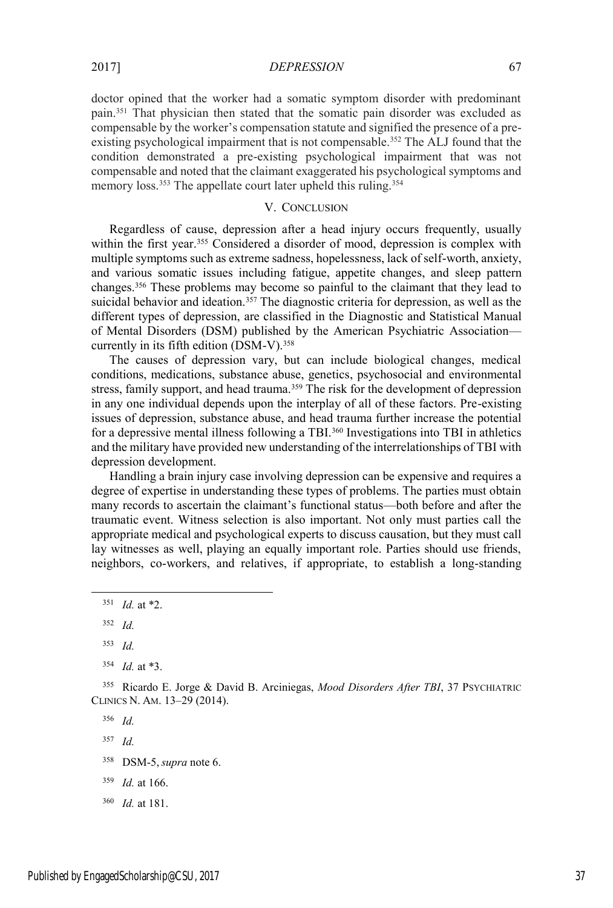doctor opined that the worker had a somatic symptom disorder with predominant pain.351 That physician then stated that the somatic pain disorder was excluded as compensable by the worker's compensation statute and signified the presence of a preexisting psychological impairment that is not compensable.<sup>352</sup> The ALJ found that the condition demonstrated a pre-existing psychological impairment that was not compensable and noted that the claimant exaggerated his psychological symptoms and memory loss.<sup>353</sup> The appellate court later upheld this ruling.<sup>354</sup>

## V. CONCLUSION

Regardless of cause, depression after a head injury occurs frequently, usually within the first year.<sup>355</sup> Considered a disorder of mood, depression is complex with multiple symptoms such as extreme sadness, hopelessness, lack of self-worth, anxiety, and various somatic issues including fatigue, appetite changes, and sleep pattern changes.356 These problems may become so painful to the claimant that they lead to suicidal behavior and ideation.<sup>357</sup> The diagnostic criteria for depression, as well as the different types of depression, are classified in the Diagnostic and Statistical Manual of Mental Disorders (DSM) published by the American Psychiatric Association currently in its fifth edition (DSM-V).<sup>358</sup>

The causes of depression vary, but can include biological changes, medical conditions, medications, substance abuse, genetics, psychosocial and environmental stress, family support, and head trauma.<sup>359</sup> The risk for the development of depression in any one individual depends upon the interplay of all of these factors. Pre-existing issues of depression, substance abuse, and head trauma further increase the potential for a depressive mental illness following a TBI.<sup>360</sup> Investigations into TBI in athletics and the military have provided new understanding of the interrelationships of TBI with depression development.

Handling a brain injury case involving depression can be expensive and requires a degree of expertise in understanding these types of problems. The parties must obtain many records to ascertain the claimant's functional status—both before and after the traumatic event. Witness selection is also important. Not only must parties call the appropriate medical and psychological experts to discuss causation, but they must call lay witnesses as well, playing an equally important role. Parties should use friends, neighbors, co-workers, and relatives, if appropriate, to establish a long-standing

 <sup>351</sup> *Id.* at \*2.

<sup>352</sup> *Id.*

<sup>353</sup> *Id.*

<sup>354</sup> *Id.* at \*3.

<sup>355</sup> Ricardo E. Jorge & David B. Arciniegas, *Mood Disorders After TBI*, 37 PSYCHIATRIC CLINICS N. AM. 13–29 (2014).

<sup>356</sup> *Id.*

<sup>358</sup> DSM-5,*supra* note 6.

<sup>359</sup> *Id.* at 166.

<sup>360</sup> *Id.* at 181.